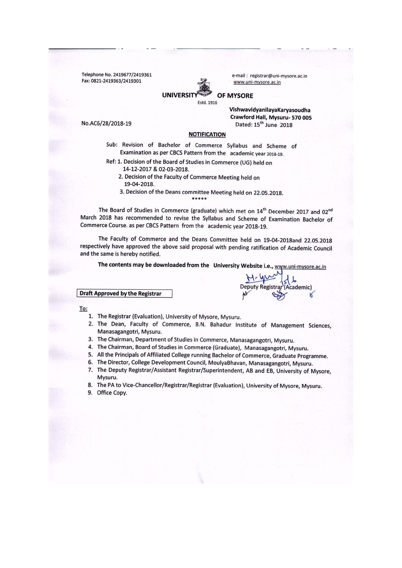Telephone No. 2419677/2419361 Fax: 0821-2419363/2419301



e-mail : registrar@uni-mysore.ac.in www.uni-mysore.ac.in

### **OF MYSORE**

Estd. 1916

VishwavidyanilayaKaryasoudha Crawford Hall, Mysuru- 570 005 Dated: 15<sup>th</sup> June 2018

**Deputy Registra** 

Academic)

No.AC6/28/2018-19

### **NOTIFICATION**

Sub: Revision of Bachelor of Commerce Syllabus and Scheme of Examination as per CBCS Pattern from the academic year 2018-19.

- Ref: 1. Decision of the Board of Studies in Commerce (UG) held on
	- 14-12-2017 & 02-03-2018.
	- 2. Decision of the Faculty of Commerce Meeting held on 19-04-2018.
	- 3. Decision of the Deans committee Meeting held on 22.05.2018.

The Board of Studies in Commerce (graduate) which met on 14<sup>th</sup> December 2017 and 02<sup>nd</sup> March 2018 has recommended to revise the Syllabus and Scheme of Examination Bachelor of Commerce Course. as per CBCS Pattern from the academic year 2018-19.

The Faculty of Commerce and the Deans Committee held on 19-04-2018and 22.05.2018 respectively have approved the above said proposal with pending ratification of Academic Council and the same is hereby notified.

The contents may be downloaded from the University Website i.e., www.uni-mysore.ac.in

**Draft Approved by the Registrar** 

To:

- 1. The Registrar (Evaluation), University of Mysore, Mysuru.
- 2. The Dean, Faculty of Commerce, B.N. Bahadur Institute of Management Sciences, Manasagangotri, Mysuru.
- 3. The Chairman, Department of Studies in Commerce, Manasagangotri, Mysuru.
- 4. The Chairman, Board of Studies in Commerce (Graduate), Manasagangotri, Mysuru.
- 5. All the Principals of Affiliated College running Bachelor of Commerce, Graduate Programme.
- 6. The Director, College Development Council, MoulyaBhavan, Manasagangotri, Mysuru.
- 7. The Deputy Registrar/Assistant Registrar/Superintendent, AB and EB, University of Mysore, Mysuru.
- 8. The PA to Vice-Chancellor/Registrar/Registrar (Evaluation), University of Mysore, Mysuru.
- 9. Office Copy.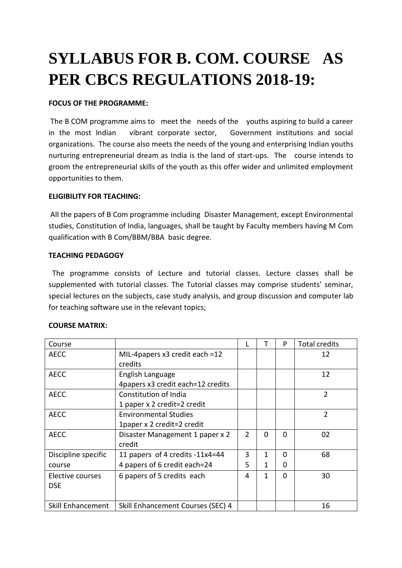# **SYLLABUS FOR B. COM. COURSE AS PER CBCS REGULATIONS 2018-19:**

### **FOCUS OF THE PROGRAMME:**

The B COM programme aims to meet the needs of the youths aspiring to build a career in the most Indian vibrant corporate sector, Government institutions and social organizations. The course also meets the needs of the young and enterprising Indian youths nurturing entrepreneurial dream as India is the land of start-ups. The course intends to groom the entrepreneurial skills of the youth as this offer wider and unlimited employment opportunities to them.

### **ELIGIBILITY FOR TEACHING:**

All the papers of B Com programme including Disaster Management, except Environmental studies, Constitution of India, languages, shall be taught by Faculty members having M Com qualification with B Com/BBM/BBA basic degree.

### **TEACHING PEDAGOGY**

The programme consists of Lecture and tutorial classes. Lecture classes shall be supplemented with tutorial classes. The Tutorial classes may comprise students' seminar, special lectures on the subjects, case study analysis, and group discussion and computer lab for teaching software use in the relevant topics;

| <b>COURSE MATRIX:</b>          |                                                                 |               |          |          |                |
|--------------------------------|-----------------------------------------------------------------|---------------|----------|----------|----------------|
| Course                         |                                                                 |               | т        | P        | Total credits  |
| <b>AECC</b>                    | MIL-4papers $x3$ credit each =12<br>credits                     |               |          |          | 12             |
| <b>AECC</b>                    | English Language<br>4papers x3 credit each=12 credits           |               |          |          | 12             |
| <b>AECC</b>                    | Constitution of India<br>1 paper x 2 credit=2 credit            |               |          |          | $\overline{2}$ |
| <b>AECC</b>                    | <b>Environmental Studies</b><br>1paper x 2 credit=2 credit      |               |          |          | $\overline{2}$ |
| <b>AECC</b>                    | Disaster Management 1 paper x 2<br>credit                       | $\mathcal{P}$ | $\Omega$ | $\Omega$ | 02             |
| Discipline specific<br>course  | 11 papers of 4 credits -11x4=44<br>4 papers of 6 credit each=24 | 3<br>5        | 1<br>1   | 0<br>0   | 68             |
| Elective courses<br><b>DSE</b> | 6 papers of 5 credits each                                      | 4             | 1        | $\Omega$ | 30             |
| Skill Enhancement              | Skill Enhancement Courses (SEC) 4                               |               |          |          | 16             |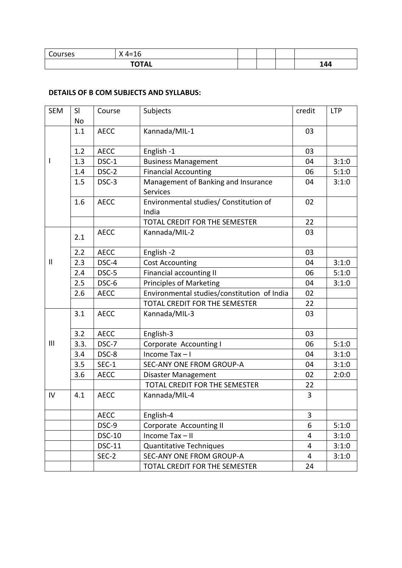| 11222<br>urses | . .<br>$\overline{\phantom{a}}$<br>$4 = 1$ |  |           |
|----------------|--------------------------------------------|--|-----------|
|                | <b>TOTAL</b><br>. .<br>$I$ $I$             |  | $\Lambda$ |

### **DETAILS OF B COM SUBJECTS AND SYLLABUS:**

| <b>SEM</b>   | SI<br>No | Course        | Subjects                                               | credit | <b>LTP</b> |
|--------------|----------|---------------|--------------------------------------------------------|--------|------------|
|              | 1.1      | <b>AECC</b>   | Kannada/MIL-1                                          | 03     |            |
|              | 1.2      | <b>AECC</b>   | English-1                                              | 03     |            |
| I            | 1.3      | DSC-1         | <b>Business Management</b>                             | 04     | 3:1:0      |
|              | 1.4      | DSC-2         | <b>Financial Accounting</b>                            | 06     | 5:1:0      |
|              | 1.5      | DSC-3         | Management of Banking and Insurance<br><b>Services</b> | 04     | 3:1:0      |
|              | 1.6      | <b>AECC</b>   | Environmental studies/ Constitution of<br>India        | 02     |            |
|              |          |               | TOTAL CREDIT FOR THE SEMESTER                          | 22     |            |
|              | 2.1      | <b>AECC</b>   | Kannada/MIL-2                                          | 03     |            |
|              | 2.2      | <b>AECC</b>   | English-2                                              | 03     |            |
| $\mathbf{I}$ | 2.3      | DSC-4         | <b>Cost Accounting</b>                                 | 04     | 3:1:0      |
|              | 2.4      | DSC-5         | Financial accounting II                                | 06     | 5:1:0      |
|              | 2.5      | DSC-6         | <b>Principles of Marketing</b>                         | 04     | 3:1:0      |
|              | 2.6      | <b>AECC</b>   | Environmental studies/constitution of India            | 02     |            |
|              |          |               | TOTAL CREDIT FOR THE SEMESTER                          | 22     |            |
|              | 3.1      | <b>AECC</b>   | Kannada/MIL-3                                          | 03     |            |
|              | 3.2      | <b>AECC</b>   | English-3                                              | 03     |            |
| III          | 3.3.     | DSC-7         | Corporate Accounting I                                 | 06     | 5:1:0      |
|              | 3.4      | DSC-8         | Income $Tax - I$                                       | 04     | 3:1:0      |
|              | 3.5      | $SEC-1$       | SEC-ANY ONE FROM GROUP-A                               | 04     | 3:1:0      |
|              | 3.6      | <b>AECC</b>   | Disaster Management                                    | 02     | 2:0:0      |
|              |          |               | TOTAL CREDIT FOR THE SEMESTER                          | 22     |            |
| IV           | 4.1      | <b>AECC</b>   | Kannada/MIL-4                                          | 3      |            |
|              |          | <b>AECC</b>   | English-4                                              | 3      |            |
|              |          | DSC-9         | Corporate Accounting II                                | 6      | 5:1:0      |
|              |          | <b>DSC-10</b> | Income Tax-II                                          | 4      | 3:1:0      |
|              |          | <b>DSC-11</b> | <b>Quantitative Techniques</b>                         | 4      | 3:1:0      |
|              |          | $SEC-2$       | SEC-ANY ONE FROM GROUP-A                               | 4      | 3:1:0      |
|              |          |               | TOTAL CREDIT FOR THE SEMESTER                          | 24     |            |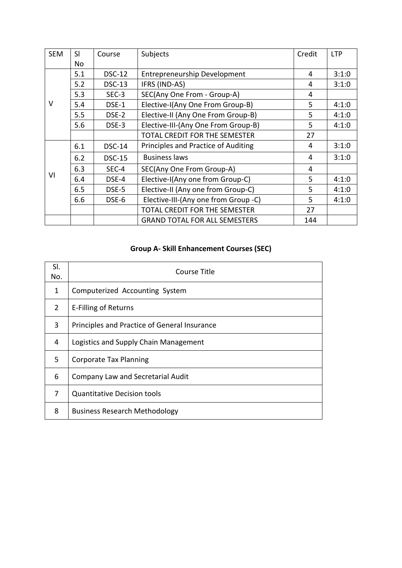| <b>SEM</b> | <b>SI</b> | Course        | Subjects                             | Credit | <b>LTP</b> |
|------------|-----------|---------------|--------------------------------------|--------|------------|
|            | No        |               |                                      |        |            |
|            | 5.1       | <b>DSC-12</b> | <b>Entrepreneurship Development</b>  | 4      | 3:1:0      |
|            | 5.2       | <b>DSC-13</b> | IFRS (IND-AS)                        | 4      | 3:1:0      |
|            | 5.3       | $SEC-3$       | SEC(Any One From - Group-A)          | 4      |            |
| V          | 5.4       | DSE-1         | Elective-I(Any One From Group-B)     | 5      | 4:1:0      |
|            | 5.5       | DSE-2         | Elective-II (Any One From Group-B)   | 5      | 4:1:0      |
|            | 5.6       | DSE-3         | Elective-III-(Any One From Group-B)  | 5      | 4:1:0      |
|            |           |               | <b>TOTAL CREDIT FOR THE SEMESTER</b> | 27     |            |
|            | 6.1       | <b>DSC-14</b> | Principles and Practice of Auditing  | 4      | 3:1:0      |
|            | 6.2       | <b>DSC-15</b> | <b>Business laws</b>                 | 4      | 3:1:0      |
|            | 6.3       | $SEC-4$       | SEC(Any One From Group-A)            | 4      |            |
| VI         | 6.4       | DSE-4         | Elective-I(Any one from Group-C)     | 5      | 4:1:0      |
|            | 6.5       | DSE-5         | Elective-II (Any one from Group-C)   | 5      | 4:1:0      |
|            | 6.6       | DSE-6         | Elective-III-(Any one from Group -C) | 5      | 4:1:0      |
|            |           |               | <b>TOTAL CREDIT FOR THE SEMESTER</b> | 27     |            |
|            |           |               | <b>GRAND TOTAL FOR ALL SEMESTERS</b> | 144    |            |

### **Group A- Skill Enhancement Courses (SEC)**

| SI.<br>No. | Course Title                                 |
|------------|----------------------------------------------|
| 1          | Computerized Accounting System               |
| 2          | E-Filling of Returns                         |
| 3          | Principles and Practice of General Insurance |
| 4          | Logistics and Supply Chain Management        |
| 5.         | <b>Corporate Tax Planning</b>                |
| 6          | Company Law and Secretarial Audit            |
| 7          | <b>Quantitative Decision tools</b>           |
| 8          | <b>Business Research Methodology</b>         |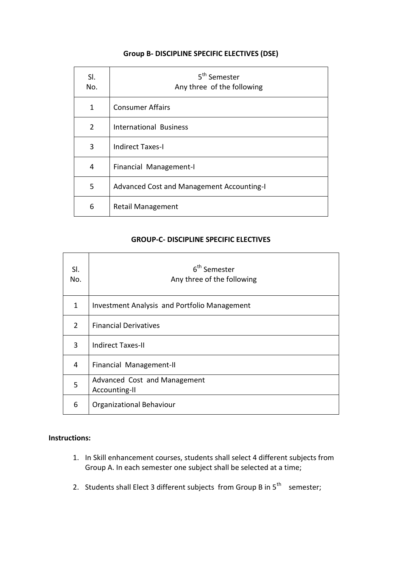### **Group B- DISCIPLINE SPECIFIC ELECTIVES (DSE)**

| SI.<br>No.     | 5 <sup>th</sup> Semester<br>Any three of the following |
|----------------|--------------------------------------------------------|
| 1              | <b>Consumer Affairs</b>                                |
| $\overline{2}$ | <b>International Business</b>                          |
| 3              | <b>Indirect Taxes-I</b>                                |
| 4              | Financial Management-I                                 |
| 5              | Advanced Cost and Management Accounting-I              |
| 6              | <b>Retail Management</b>                               |

### **GROUP-C- DISCIPLINE SPECIFIC ELECTIVES**

| SI.<br>No.    | 6 <sup>th</sup> Semester<br>Any three of the following |
|---------------|--------------------------------------------------------|
| 1             | Investment Analysis and Portfolio Management           |
| $\mathcal{P}$ | <b>Financial Derivatives</b>                           |
| 3             | Indirect Taxes-II                                      |
| 4             | Financial Management-II                                |
| 5             | Advanced Cost and Management<br>Accounting-II          |
| 6             | Organizational Behaviour                               |

### **Instructions:**

- 1. In Skill enhancement courses, students shall select 4 different subjects from Group A. In each semester one subject shall be selected at a time;
- 2. Students shall Elect 3 different subjects from Group B in  $5^{th}$  semester;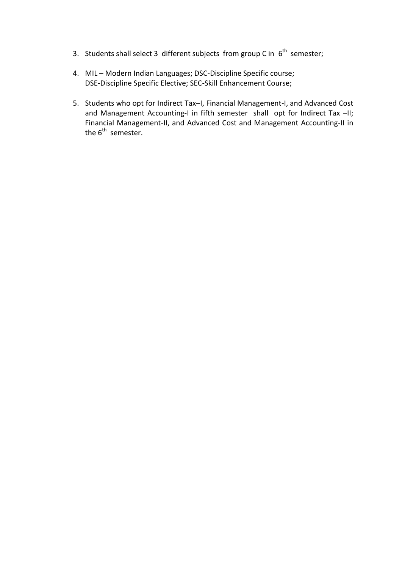- 3. Students shall select 3 different subjects from group C in  $6<sup>th</sup>$  semester;
- 4. MIL Modern Indian Languages; DSC-Discipline Specific course; DSE-Discipline Specific Elective; SEC-Skill Enhancement Course;
- 5. Students who opt for Indirect Tax–I, Financial Management-I, and Advanced Cost and Management Accounting-I in fifth semester shall opt for Indirect Tax -II; Financial Management-II, and Advanced Cost and Management Accounting-II in the 6<sup>th</sup> semester.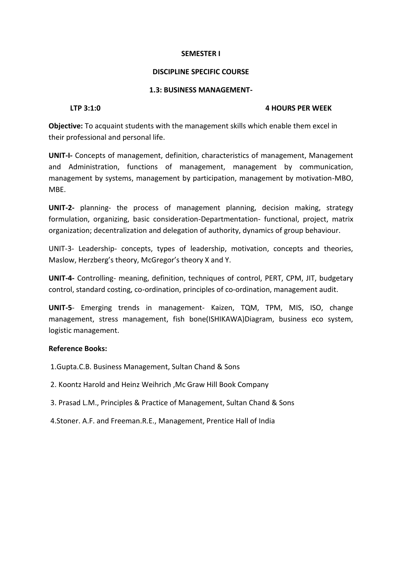### **DISCIPLINE SPECIFIC COURSE**

### **1.3: BUSINESS MANAGEMENT-**

### **LTP 3:1:0 4 HOURS PER WEEK**

**Objective:** To acquaint students with the management skills which enable them excel in their professional and personal life.

**UNIT-I-** Concepts of management, definition, characteristics of management, Management and Administration, functions of management, management by communication, management by systems, management by participation, management by motivation-MBO, MBE.

**UNIT-2-** planning- the process of management planning, decision making, strategy formulation, organizing, basic consideration-Departmentation- functional, project, matrix organization; decentralization and delegation of authority, dynamics of group behaviour.

UNIT-3- Leadership- concepts, types of leadership, motivation, concepts and theories, Maslow, Herzberg's theory, McGregor's theory X and Y.

**UNIT-4-** Controlling- meaning, definition, techniques of control, PERT, CPM, JIT, budgetary control, standard costing, co-ordination, principles of co-ordination, management audit.

**UNIT-5**- Emerging trends in management- Kaizen, TQM, TPM, MIS, ISO, change management, stress management, fish bone(ISHIKAWA)Diagram, business eco system, logistic management.

### **Reference Books:**

1.Gupta.C.B. Business Management, Sultan Chand & Sons

2. Koontz Harold and Heinz Weihrich ,Mc Graw Hill Book Company

3. Prasad L.M., Principles & Practice of Management, Sultan Chand & Sons

4.Stoner. A.F. and Freeman.R.E., Management, Prentice Hall of India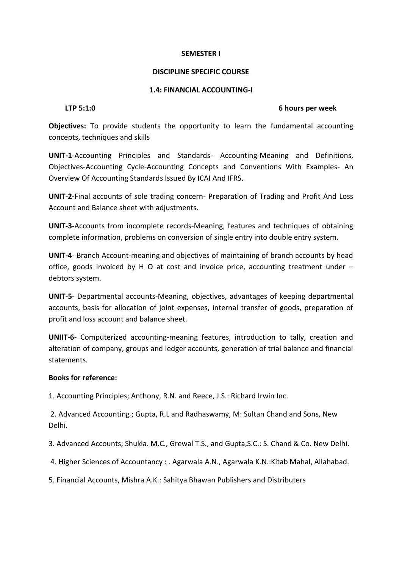### **DISCIPLINE SPECIFIC COURSE**

### **1.4: FINANCIAL ACCOUNTING-I**

### **LTP 5:1:0 6 hours per week**

**Objectives:** To provide students the opportunity to learn the fundamental accounting concepts, techniques and skills

**UNIT-1**-Accounting Principles and Standards- Accounting-Meaning and Definitions, Objectives-Accounting Cycle-Accounting Concepts and Conventions With Examples- An Overview Of Accounting Standards Issued By ICAI And IFRS.

**UNIT-2-**Final accounts of sole trading concern- Preparation of Trading and Profit And Loss Account and Balance sheet with adjustments.

**UNIT-3-**Accounts from incomplete records-Meaning, features and techniques of obtaining complete information, problems on conversion of single entry into double entry system.

**UNIT-4**- Branch Account-meaning and objectives of maintaining of branch accounts by head office, goods invoiced by H O at cost and invoice price, accounting treatment under – debtors system.

**UNIT-5**- Departmental accounts-Meaning, objectives, advantages of keeping departmental accounts, basis for allocation of joint expenses, internal transfer of goods, preparation of profit and loss account and balance sheet.

**UNIIT-6**- Computerized accounting-meaning features, introduction to tally, creation and alteration of company, groups and ledger accounts, generation of trial balance and financial statements.

### **Books for reference:**

1. Accounting Principles; Anthony, R.N. and Reece, J.S.: Richard Irwin Inc.

2. Advanced Accounting ; Gupta, R.L and Radhaswamy, M: Sultan Chand and Sons, New Delhi.

3. Advanced Accounts; Shukla. M.C., Grewal T.S., and Gupta,S.C.: S. Chand & Co. New Delhi.

4. Higher Sciences of Accountancy : . Agarwala A.N., Agarwala K.N.:Kitab Mahal, Allahabad.

5. Financial Accounts, Mishra A.K.: Sahitya Bhawan Publishers and Distributers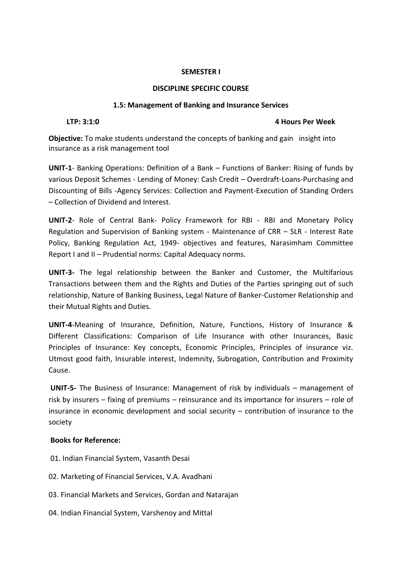### **DISCIPLINE SPECIFIC COURSE**

### **1.5: Management of Banking and Insurance Services**

### **LTP: 3:1:0 4 Hours Per Week**

**Objective:** To make students understand the concepts of banking and gain insight into insurance as a risk management tool

**UNIT-1**- Banking Operations: Definition of a Bank – Functions of Banker: Rising of funds by various Deposit Schemes - Lending of Money: Cash Credit – Overdraft-Loans-Purchasing and Discounting of Bills -Agency Services: Collection and Payment-Execution of Standing Orders – Collection of Dividend and Interest.

**UNIT-2**- Role of Central Bank- Policy Framework for RBI - RBI and Monetary Policy Regulation and Supervision of Banking system - Maintenance of CRR – SLR - Interest Rate Policy, Banking Regulation Act, 1949- objectives and features, Narasimham Committee Report I and II – Prudential norms: Capital Adequacy norms.

**UNIT-3-** The legal relationship between the Banker and Customer, the Multifarious Transactions between them and the Rights and Duties of the Parties springing out of such relationship, Nature of Banking Business, Legal Nature of Banker-Customer Relationship and their Mutual Rights and Duties.

**UNIT-4**-Meaning of Insurance, Definition, Nature, Functions, History of Insurance & Different Classifications: Comparison of Life Insurance with other Insurances, Basic Principles of Insurance: Key concepts, Economic Principles, Principles of insurance viz. Utmost good faith, Insurable interest, Indemnity, Subrogation, Contribution and Proximity Cause.

**UNIT-5-** The Business of Insurance: Management of risk by individuals – management of risk by insurers – fixing of premiums – reinsurance and its importance for insurers – role of insurance in economic development and social security – contribution of insurance to the society

### **Books for Reference:**

- 01. Indian Financial System, Vasanth Desai
- 02. Marketing of Financial Services, V.A. Avadhani
- 03. Financial Markets and Services, Gordan and Natarajan
- 04. Indian Financial System, Varshenoy and Mittal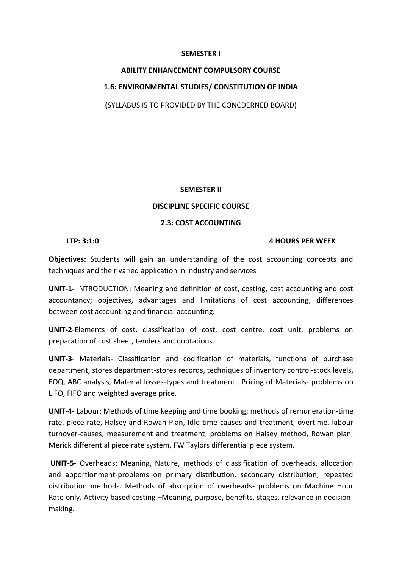## **ABILITY ENHANCEMENT COMPULSORY COURSE**

### **1.6: ENVIRONMENTAL STUDIES/ CONSTITUTION OF INDIA**

**(**SYLLABUS IS TO PROVIDED BY THE CONCDERNED BOARD)

### **SEMESTER II**

### **DISCIPLINE SPECIFIC COURSE**

### **2.3: COST ACCOUNTING**

### **LTP: 3:1:0 4 HOURS PER WEEK**

**Objectives:** Students will gain an understanding of the cost accounting concepts and techniques and their varied application in industry and services

**UNIT-1-** INTRODUCTION: Meaning and definition of cost, costing, cost accounting and cost accountancy; objectives, advantages and limitations of cost accounting, differences between cost accounting and financial accounting.

**UNIT-2**-Elements of cost, classification of cost, cost centre, cost unit, problems on preparation of cost sheet, tenders and quotations.

**UNIT-3**- Materials- Classification and codification of materials, functions of purchase department, stores department-stores records, techniques of inventory control-stock levels, EOQ, ABC analysis, Material losses-types and treatment , Pricing of Materials- problems on LIFO, FIFO and weighted average price.

**UNIT-4-** Labour: Methods of time keeping and time booking; methods of remuneration-time rate, piece rate, Halsey and Rowan Plan, Idle time-causes and treatment, overtime, labour turnover-causes, measurement and treatment; problems on Halsey method, Rowan plan, Merick differential piece rate system, FW Taylors differential piece system.

**UNIT-5-** Overheads: Meaning, Nature, methods of classification of overheads, allocation and apportionment-problems on primary distribution, secondary distribution, repeated distribution methods. Methods of absorption of overheads- problems on Machine Hour Rate only. Activity based costing –Meaning, purpose, benefits, stages, relevance in decisionmaking.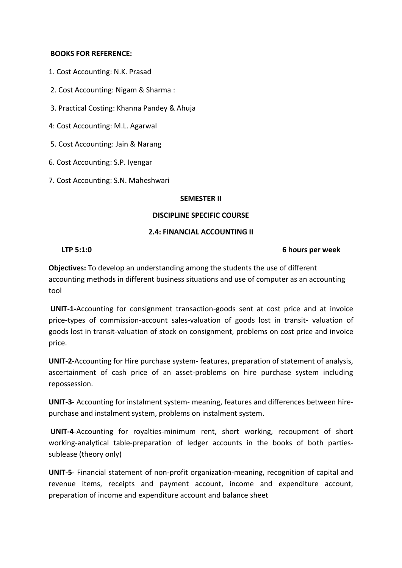### **BOOKS FOR REFERENCE:**

- 1. Cost Accounting: N.K. Prasad
- 2. Cost Accounting: Nigam & Sharma :
- 3. Practical Costing: Khanna Pandey & Ahuja
- 4: Cost Accounting: M.L. Agarwal
- 5. Cost Accounting: Jain & Narang
- 6. Cost Accounting: S.P. Iyengar
- 7. Cost Accounting: S.N. Maheshwari

### **SEMESTER II**

### **DISCIPLINE SPECIFIC COURSE**

### **2.4: FINANCIAL ACCOUNTING II**

### **LTP 5:1:0 6 hours per week**

**Objectives:** To develop an understanding among the students the use of different accounting methods in different business situations and use of computer as an accounting tool

**UNIT-1-**Accounting for consignment transaction-goods sent at cost price and at invoice price-types of commission-account sales-valuation of goods lost in transit- valuation of goods lost in transit-valuation of stock on consignment, problems on cost price and invoice price.

**UNIT-2**-Accounting for Hire purchase system- features, preparation of statement of analysis, ascertainment of cash price of an asset-problems on hire purchase system including repossession.

**UNIT-3-** Accounting for instalment system- meaning, features and differences between hirepurchase and instalment system, problems on instalment system.

**UNIT-4**-Accounting for royalties-minimum rent, short working, recoupment of short working-analytical table-preparation of ledger accounts in the books of both partiessublease (theory only)

**UNIT-5**- Financial statement of non-profit organization-meaning, recognition of capital and revenue items, receipts and payment account, income and expenditure account, preparation of income and expenditure account and balance sheet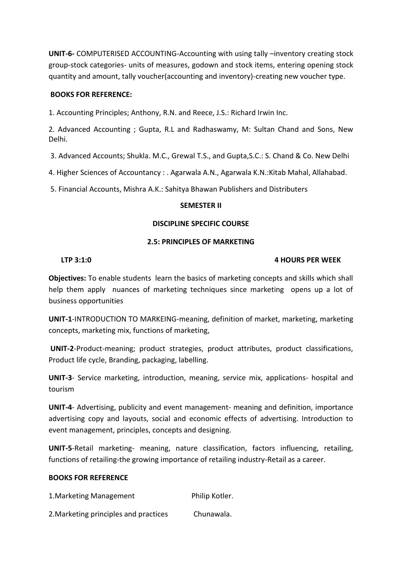**UNIT-6-** COMPUTERISED ACCOUNTING-Accounting with using tally –inventory creating stock group-stock categories- units of measures, godown and stock items, entering opening stock quantity and amount, tally voucher(accounting and inventory)-creating new voucher type.

### **BOOKS FOR REFERENCE:**

1. Accounting Principles; Anthony, R.N. and Reece, J.S.: Richard Irwin Inc.

2. Advanced Accounting ; Gupta, R.L and Radhaswamy, M: Sultan Chand and Sons, New Delhi.

3. Advanced Accounts; Shukla. M.C., Grewal T.S., and Gupta,S.C.: S. Chand & Co. New Delhi

4. Higher Sciences of Accountancy : . Agarwala A.N., Agarwala K.N.:Kitab Mahal, Allahabad.

5. Financial Accounts, Mishra A.K.: Sahitya Bhawan Publishers and Distributers

### **SEMESTER II**

### **DISCIPLINE SPECIFIC COURSE**

### **2.5: PRINCIPLES OF MARKETING**

### **LTP 3:1:0 4 HOURS PER WEEK**

**Objectives:** To enable students learn the basics of marketing concepts and skills which shall help them apply nuances of marketing techniques since marketing opens up a lot of business opportunities

**UNIT-1**-INTRODUCTION TO MARKEING-meaning, definition of market, marketing, marketing concepts, marketing mix, functions of marketing,

**UNIT-2**-Product-meaning; product strategies, product attributes, product classifications, Product life cycle, Branding, packaging, labelling.

**UNIT-3**- Service marketing, introduction, meaning, service mix, applications- hospital and tourism

**UNIT-4**- Advertising, publicity and event management- meaning and definition, importance advertising copy and layouts, social and economic effects of advertising. Introduction to event management, principles, concepts and designing.

**UNIT-5**-Retail marketing- meaning, nature classification, factors influencing, retailing, functions of retailing-the growing importance of retailing industry-Retail as a career.

### **BOOKS FOR REFERENCE**

1. Marketing Management **Philip Kotler.** 

2.Marketing principles and practices Chunawala.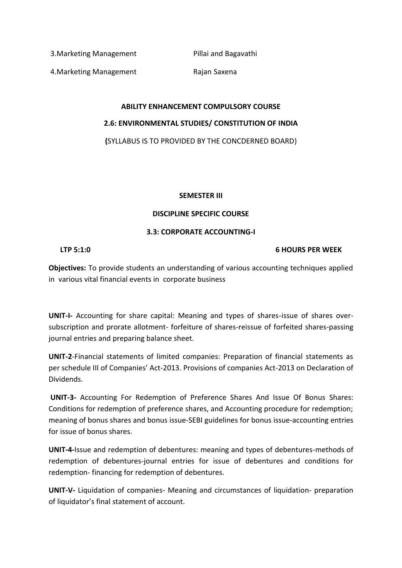3. Marketing Management Pillai and Bagavathi

4. Marketing Management Rajan Saxena

## **ABILITY ENHANCEMENT COMPULSORY COURSE 2.6: ENVIRONMENTAL STUDIES/ CONSTITUTION OF INDIA**

**(**SYLLABUS IS TO PROVIDED BY THE CONCDERNED BOARD)

### **SEMESTER III**

### **DISCIPLINE SPECIFIC COURSE**

### **3.3: CORPORATE ACCOUNTING-I**

**LTP 5:1:0 6 HOURS PER WEEK**

**Objectives:** To provide students an understanding of various accounting techniques applied in various vital financial events in corporate business

**UNIT-I-** Accounting for share capital: Meaning and types of shares-issue of shares oversubscription and prorate allotment- forfeiture of shares-reissue of forfeited shares-passing journal entries and preparing balance sheet.

**UNIT-2**-Financial statements of limited companies: Preparation of financial statements as per schedule III of Companies' Act-2013. Provisions of companies Act-2013 on Declaration of Dividends.

**UNIT-3-** Accounting For Redemption of Preference Shares And Issue Of Bonus Shares: Conditions for redemption of preference shares, and Accounting procedure for redemption; meaning of bonus shares and bonus issue-SEBI guidelines for bonus issue-accounting entries for issue of bonus shares.

**UNIT-4-**Issue and redemption of debentures: meaning and types of debentures-methods of redemption of debentures-journal entries for issue of debentures and conditions for redemption- financing for redemption of debentures.

**UNIT-V-** Liquidation of companies- Meaning and circumstances of liquidation- preparation of liquidator's final statement of account.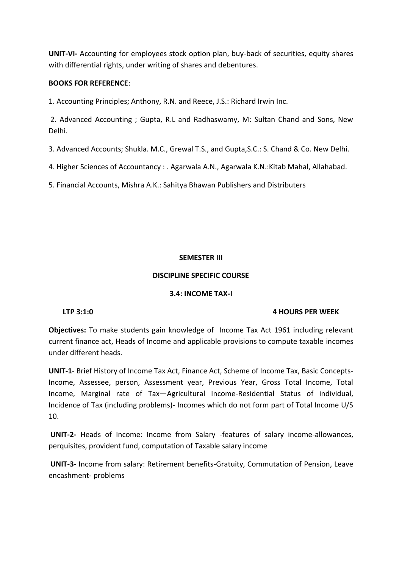**UNIT-VI-** Accounting for employees stock option plan, buy-back of securities, equity shares with differential rights, under writing of shares and debentures.

### **BOOKS FOR REFERENCE**:

1. Accounting Principles; Anthony, R.N. and Reece, J.S.: Richard Irwin Inc.

2. Advanced Accounting ; Gupta, R.L and Radhaswamy, M: Sultan Chand and Sons, New Delhi.

3. Advanced Accounts; Shukla. M.C., Grewal T.S., and Gupta,S.C.: S. Chand & Co. New Delhi.

4. Higher Sciences of Accountancy : . Agarwala A.N., Agarwala K.N.:Kitab Mahal, Allahabad.

5. Financial Accounts, Mishra A.K.: Sahitya Bhawan Publishers and Distributers

### **SEMESTER III**

### **DISCIPLINE SPECIFIC COURSE**

### **3.4: INCOME TAX-I**

### **LTP 3:1:0 4 HOURS PER WEEK**

**Objectives:** To make students gain knowledge of Income Tax Act 1961 including relevant current finance act, Heads of Income and applicable provisions to compute taxable incomes under different heads.

**UNIT-1**- Brief History of Income Tax Act, Finance Act, Scheme of Income Tax, Basic Concepts-Income, Assessee, person, Assessment year, Previous Year, Gross Total Income, Total Income, Marginal rate of Tax—Agricultural Income-Residential Status of individual, Incidence of Tax (including problems)- Incomes which do not form part of Total Income U/S 10.

**UNIT-2-** Heads of Income: Income from Salary -features of salary income-allowances, perquisites, provident fund, computation of Taxable salary income

**UNIT-3**- Income from salary: Retirement benefits-Gratuity, Commutation of Pension, Leave encashment- problems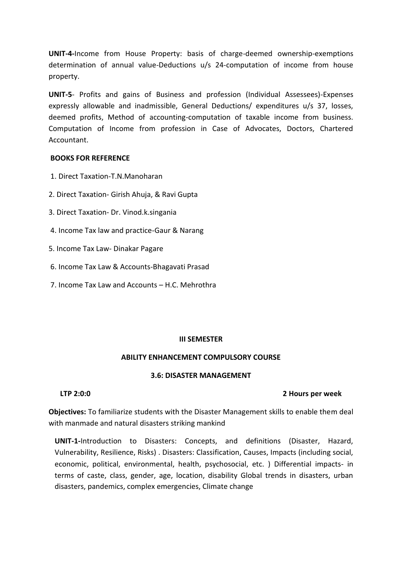**UNIT-4-**Income from House Property: basis of charge-deemed ownership-exemptions determination of annual value-Deductions u/s 24-computation of income from house property.

**UNIT-5**- Profits and gains of Business and profession (Individual Assessees)-Expenses expressly allowable and inadmissible, General Deductions/ expenditures u/s 37, losses, deemed profits, Method of accounting-computation of taxable income from business. Computation of Income from profession in Case of Advocates, Doctors, Chartered Accountant.

### **BOOKS FOR REFERENCE**

- 1. Direct Taxation-T.N.Manoharan
- 2. Direct Taxation- Girish Ahuja, & Ravi Gupta
- 3. Direct Taxation- Dr. Vinod.k.singania
- 4. Income Tax law and practice-Gaur & Narang
- 5. Income Tax Law- Dinakar Pagare
- 6. Income Tax Law & Accounts-Bhagavati Prasad
- 7. Income Tax Law and Accounts H.C. Mehrothra

### **III SEMESTER**

### **ABILITY ENHANCEMENT COMPULSORY COURSE**

### **3.6: DISASTER MANAGEMENT**

### **LTP 2:0:0 2 Hours per week**

**Objectives:** To familiarize students with the Disaster Management skills to enable them deal with manmade and natural disasters striking mankind

**UNIT-1-**Introduction to Disasters: Concepts, and definitions (Disaster, Hazard, Vulnerability, Resilience, Risks) . Disasters: Classification, Causes, Impacts (including social, economic, political, environmental, health, psychosocial, etc. ) Differential impacts- in terms of caste, class, gender, age, location, disability Global trends in disasters, urban disasters, pandemics, complex emergencies, Climate change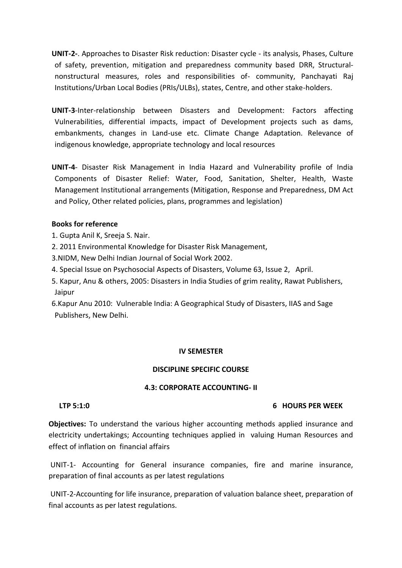**UNIT-2-**. Approaches to Disaster Risk reduction: Disaster cycle - its analysis, Phases, Culture of safety, prevention, mitigation and preparedness community based DRR, Structuralnonstructural measures, roles and responsibilities of- community, Panchayati Raj Institutions/Urban Local Bodies (PRIs/ULBs), states, Centre, and other stake-holders.

- **UNIT-3**-Inter-relationship between Disasters and Development: Factors affecting Vulnerabilities, differential impacts, impact of Development projects such as dams, embankments, changes in Land-use etc. Climate Change Adaptation. Relevance of indigenous knowledge, appropriate technology and local resources
- **UNIT-4** Disaster Risk Management in India Hazard and Vulnerability profile of India Components of Disaster Relief: Water, Food, Sanitation, Shelter, Health, Waste Management Institutional arrangements (Mitigation, Response and Preparedness, DM Act and Policy, Other related policies, plans, programmes and legislation)

### **Books for reference**

- 1. Gupta Anil K, Sreeja S. Nair.
- 2. 2011 Environmental Knowledge for Disaster Risk Management,
- 3.NIDM, New Delhi Indian Journal of Social Work 2002.
- 4. Special Issue on Psychosocial Aspects of Disasters, Volume 63, Issue 2, April.
- 5. Kapur, Anu & others, 2005: Disasters in India Studies of grim reality, Rawat Publishers, Jaipur
- 6.Kapur Anu 2010: Vulnerable India: A Geographical Study of Disasters, IIAS and Sage Publishers, New Delhi.

### **IV SEMESTER**

### **DISCIPLINE SPECIFIC COURSE**

### **4.3: CORPORATE ACCOUNTING- II**

### **LTP 5:1:0 6 HOURS PER WEEK**

**Objectives:** To understand the various higher accounting methods applied insurance and electricity undertakings; Accounting techniques applied in valuing Human Resources and effect of inflation on financial affairs

UNIT-1- Accounting for General insurance companies, fire and marine insurance, preparation of final accounts as per latest regulations

UNIT-2-Accounting for life insurance, preparation of valuation balance sheet, preparation of final accounts as per latest regulations.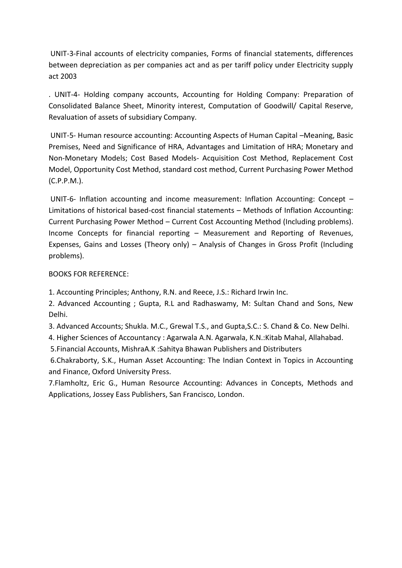UNIT-3-Final accounts of electricity companies, Forms of financial statements, differences between depreciation as per companies act and as per tariff policy under Electricity supply act 2003

. UNIT-4- Holding company accounts, Accounting for Holding Company: Preparation of Consolidated Balance Sheet, Minority interest, Computation of Goodwill/ Capital Reserve, Revaluation of assets of subsidiary Company.

UNIT-5- Human resource accounting: Accounting Aspects of Human Capital –Meaning, Basic Premises, Need and Significance of HRA, Advantages and Limitation of HRA; Monetary and Non-Monetary Models; Cost Based Models- Acquisition Cost Method, Replacement Cost Model, Opportunity Cost Method, standard cost method, Current Purchasing Power Method (C.P.P.M.).

UNIT-6- Inflation accounting and income measurement: Inflation Accounting: Concept – Limitations of historical based-cost financial statements – Methods of Inflation Accounting: Current Purchasing Power Method – Current Cost Accounting Method (Including problems). Income Concepts for financial reporting – Measurement and Reporting of Revenues, Expenses, Gains and Losses (Theory only) – Analysis of Changes in Gross Profit (Including problems).

BOOKS FOR REFERENCE:

1. Accounting Principles; Anthony, R.N. and Reece, J.S.: Richard Irwin Inc.

2. Advanced Accounting ; Gupta, R.L and Radhaswamy, M: Sultan Chand and Sons, New Delhi.

3. Advanced Accounts; Shukla. M.C., Grewal T.S., and Gupta,S.C.: S. Chand & Co. New Delhi.

4. Higher Sciences of Accountancy : Agarwala A.N. Agarwala, K.N.:Kitab Mahal, Allahabad.

5.Financial Accounts, MishraA.K :Sahitya Bhawan Publishers and Distributers

6.Chakraborty, S.K., Human Asset Accounting: The Indian Context in Topics in Accounting and Finance, Oxford University Press.

7.Flamholtz, Eric G., Human Resource Accounting: Advances in Concepts, Methods and Applications, Jossey Eass Publishers, San Francisco, London.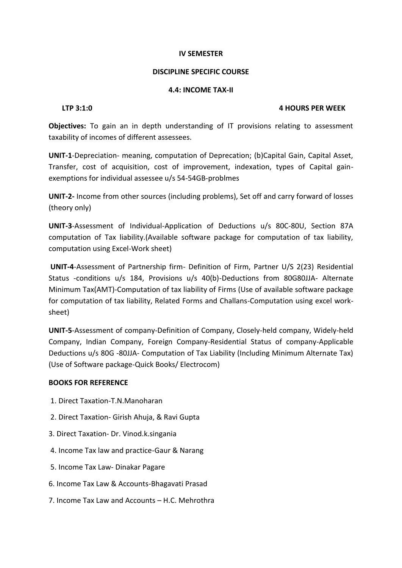### **DISCIPLINE SPECIFIC COURSE**

### **4.4: INCOME TAX-II**

### **LTP 3:1:0 4 HOURS PER WEEK**

**Objectives:** To gain an in depth understanding of IT provisions relating to assessment taxability of incomes of different assessees.

**UNIT-1**-Depreciation- meaning, computation of Deprecation; (b)Capital Gain, Capital Asset, Transfer, cost of acquisition, cost of improvement, indexation, types of Capital gainexemptions for individual assessee u/s 54-54GB-problmes

**UNIT-2-** Income from other sources (including problems), Set off and carry forward of losses (theory only)

**UNIT-3**-Assessment of Individual-Application of Deductions u/s 80C-80U, Section 87A computation of Tax liability.(Available software package for computation of tax liability, computation using Excel-Work sheet)

**UNIT-4**-Assessment of Partnership firm- Definition of Firm, Partner U/S 2(23) Residential Status -conditions u/s 184, Provisions u/s 40(b)-Deductions from 80G80JJA- Alternate Minimum Tax(AMT)-Computation of tax liability of Firms (Use of available software package for computation of tax liability, Related Forms and Challans-Computation using excel worksheet)

**UNIT-5**-Assessment of company-Definition of Company, Closely-held company, Widely-held Company, Indian Company, Foreign Company-Residential Status of company-Applicable Deductions u/s 80G -80JJA- Computation of Tax Liability (Including Minimum Alternate Tax) (Use of Software package-Quick Books/ Electrocom)

### **BOOKS FOR REFERENCE**

- 1. Direct Taxation-T.N.Manoharan
- 2. Direct Taxation- Girish Ahuja, & Ravi Gupta
- 3. Direct Taxation- Dr. Vinod.k.singania
- 4. Income Tax law and practice-Gaur & Narang
- 5. Income Tax Law- Dinakar Pagare
- 6. Income Tax Law & Accounts-Bhagavati Prasad
- 7. Income Tax Law and Accounts H.C. Mehrothra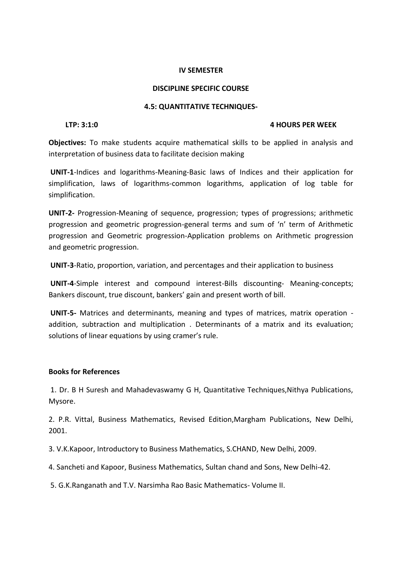### **DISCIPLINE SPECIFIC COURSE**

### **4.5: QUANTITATIVE TECHNIQUES-**

### **LTP: 3:1:0 4 HOURS PER WEEK**

**Objectives:** To make students acquire mathematical skills to be applied in analysis and interpretation of business data to facilitate decision making

**UNIT-1**-Indices and logarithms-Meaning-Basic laws of Indices and their application for simplification, laws of logarithms-common logarithms, application of log table for simplification.

**UNIT-2-** Progression-Meaning of sequence, progression; types of progressions; arithmetic progression and geometric progression-general terms and sum of 'n' term of Arithmetic progression and Geometric progression-Application problems on Arithmetic progression and geometric progression.

**UNIT-3**-Ratio, proportion, variation, and percentages and their application to business

**UNIT-4**-Simple interest and compound interest-Bills discounting- Meaning-concepts; Bankers discount, true discount, bankers' gain and present worth of bill.

**UNIT-5-** Matrices and determinants, meaning and types of matrices, matrix operation addition, subtraction and multiplication . Determinants of a matrix and its evaluation; solutions of linear equations by using cramer's rule.

### **Books for References**

1. Dr. B H Suresh and Mahadevaswamy G H, Quantitative Techniques,Nithya Publications, Mysore.

2. P.R. Vittal, Business Mathematics, Revised Edition,Margham Publications, New Delhi, 2001.

3. V.K.Kapoor, Introductory to Business Mathematics, S.CHAND, New Delhi, 2009.

4. Sancheti and Kapoor, Business Mathematics, Sultan chand and Sons, New Delhi-42.

5. G.K.Ranganath and T.V. Narsimha Rao Basic Mathematics- Volume II.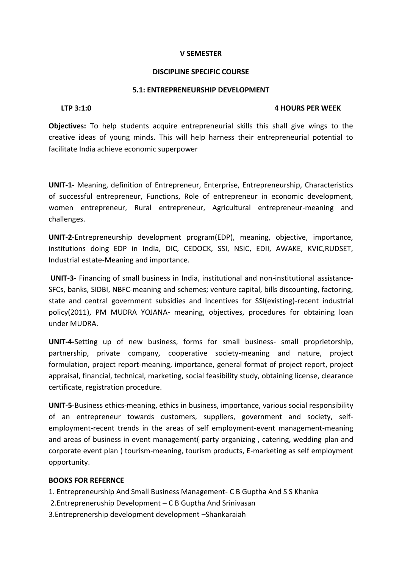### **DISCIPLINE SPECIFIC COURSE**

### **5.1: ENTREPRENEURSHIP DEVELOPMENT**

### **LTP 3:1:0 4 HOURS PER WEEK**

**Objectives:** To help students acquire entrepreneurial skills this shall give wings to the creative ideas of young minds. This will help harness their entrepreneurial potential to facilitate India achieve economic superpower

**UNIT-1-** Meaning, definition of Entrepreneur, Enterprise, Entrepreneurship, Characteristics of successful entrepreneur, Functions, Role of entrepreneur in economic development, women entrepreneur, Rural entrepreneur, Agricultural entrepreneur-meaning and challenges.

**UNIT-2**-Entrepreneurship development program(EDP), meaning, objective, importance, institutions doing EDP in India, DIC, CEDOCK, SSI, NSIC, EDII, AWAKE, KVIC,RUDSET, Industrial estate-Meaning and importance.

**UNIT-3**- Financing of small business in India, institutional and non-institutional assistance-SFCs, banks, SIDBI, NBFC-meaning and schemes; venture capital, bills discounting, factoring, state and central government subsidies and incentives for SSI(existing)-recent industrial policy(2011), PM MUDRA YOJANA- meaning, objectives, procedures for obtaining loan under MUDRA.

**UNIT-4-**Setting up of new business, forms for small business- small proprietorship, partnership, private company, cooperative society-meaning and nature, project formulation, project report-meaning, importance, general format of project report, project appraisal, financial, technical, marketing, social feasibility study, obtaining license, clearance certificate, registration procedure.

**UNIT-5**-Business ethics-meaning, ethics in business, importance, various social responsibility of an entrepreneur towards customers, suppliers, government and society, selfemployment-recent trends in the areas of self employment-event management-meaning and areas of business in event management( party organizing , catering, wedding plan and corporate event plan ) tourism-meaning, tourism products, E-marketing as self employment opportunity.

### **BOOKS FOR REFERNCE**

- 1. Entrepreneurship And Small Business Management- C B Guptha And S S Khanka
- 2.Entrepreneruship Development C B Guptha And Srinivasan
- 3.Entreprenership development development –Shankaraiah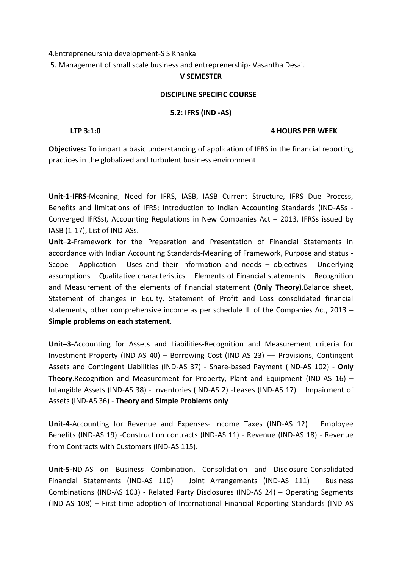### 4.Entrepreneurship development-S S Khanka

5. Management of small scale business and entreprenership- Vasantha Desai.

### **V SEMESTER**

### **DISCIPLINE SPECIFIC COURSE**

### **5.2: IFRS (IND -AS)**

### **LTP 3:1:0 4 HOURS PER WEEK**

**Objectives:** To impart a basic understanding of application of IFRS in the financial reporting practices in the globalized and turbulent business environment

**Unit-1-IFRS-**Meaning, Need for IFRS, IASB, IASB Current Structure, IFRS Due Process, Benefits and limitations of IFRS; Introduction to Indian Accounting Standards (IND-ASs - Converged IFRSs), Accounting Regulations in New Companies Act – 2013, IFRSs issued by IASB (1-17), List of IND-ASs.

**Unit–2-**Framework for the Preparation and Presentation of Financial Statements in accordance with Indian Accounting Standards-Meaning of Framework, Purpose and status - Scope - Application - Uses and their information and needs – objectives - Underlying assumptions – Qualitative characteristics – Elements of Financial statements – Recognition and Measurement of the elements of financial statement **(Only Theory)**.Balance sheet, Statement of changes in Equity, Statement of Profit and Loss consolidated financial statements, other comprehensive income as per schedule III of the Companies Act, 2013 – **Simple problems on each statement**.

**Unit–3-**Accounting for Assets and Liabilities-Recognition and Measurement criteria for Investment Property (IND-AS 40) – Borrowing Cost (IND-AS 23) –– Provisions, Contingent Assets and Contingent Liabilities (IND-AS 37) - Share-based Payment (IND-AS 102) - **Only Theory**.Recognition and Measurement for Property, Plant and Equipment (IND-AS 16) – Intangible Assets (IND-AS 38) - Inventories (IND-AS 2) -Leases (IND-AS 17) – Impairment of Assets (IND-AS 36) - **Theory and Simple Problems only**

**Unit-4-**Accounting for Revenue and Expenses- Income Taxes (IND-AS 12) – Employee Benefits (IND-AS 19) -Construction contracts (IND-AS 11) - Revenue (IND-AS 18) - Revenue from Contracts with Customers (IND-AS 115).

**Unit-5-**ND-AS on Business Combination, Consolidation and Disclosure-Consolidated Financial Statements (IND-AS 110) – Joint Arrangements (IND-AS 111) – Business Combinations (IND-AS 103) - Related Party Disclosures (IND-AS 24) – Operating Segments (IND-AS 108) – First-time adoption of International Financial Reporting Standards (IND-AS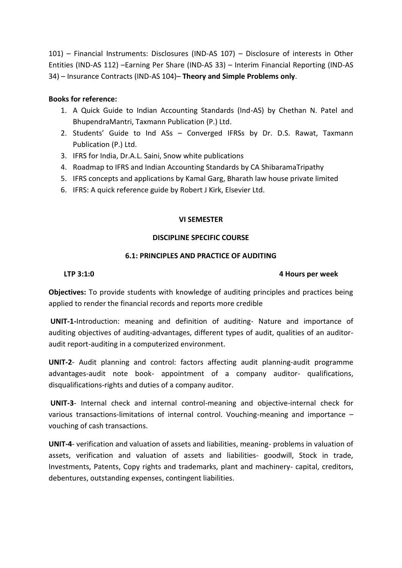101) – Financial Instruments: Disclosures (IND-AS 107) – Disclosure of interests in Other Entities (IND-AS 112) –Earning Per Share (IND-AS 33) – Interim Financial Reporting (IND-AS 34) – Insurance Contracts (IND-AS 104)– **Theory and Simple Problems only**.

### **Books for reference:**

- 1. A Quick Guide to Indian Accounting Standards (Ind-AS) by Chethan N. Patel and BhupendraMantri, Taxmann Publication (P.) Ltd.
- 2. Students' Guide to Ind ASs Converged IFRSs by Dr. D.S. Rawat, Taxmann Publication (P.) Ltd.
- 3. IFRS for India, Dr.A.L. Saini, Snow white publications
- 4. Roadmap to IFRS and Indian Accounting Standards by CA ShibaramaTripathy
- 5. IFRS concepts and applications by Kamal Garg, Bharath law house private limited
- 6. IFRS: A quick reference guide by Robert J Kirk, Elsevier Ltd.

### **VI SEMESTER**

### **DISCIPLINE SPECIFIC COURSE**

### **6.1: PRINCIPLES AND PRACTICE OF AUDITING**

### **LTP 3:1:0 4 Hours per week**

**Objectives:** To provide students with knowledge of auditing principles and practices being applied to render the financial records and reports more credible

**UNIT-1-**Introduction: meaning and definition of auditing- Nature and importance of auditing objectives of auditing-advantages, different types of audit, qualities of an auditoraudit report-auditing in a computerized environment.

**UNIT-2**- Audit planning and control: factors affecting audit planning-audit programme advantages-audit note book- appointment of a company auditor- qualifications, disqualifications-rights and duties of a company auditor.

**UNIT-3**- Internal check and internal control-meaning and objective-internal check for various transactions-limitations of internal control. Vouching-meaning and importance – vouching of cash transactions.

**UNIT-4**- verification and valuation of assets and liabilities, meaning- problems in valuation of assets, verification and valuation of assets and liabilities- goodwill, Stock in trade, Investments, Patents, Copy rights and trademarks, plant and machinery- capital, creditors, debentures, outstanding expenses, contingent liabilities.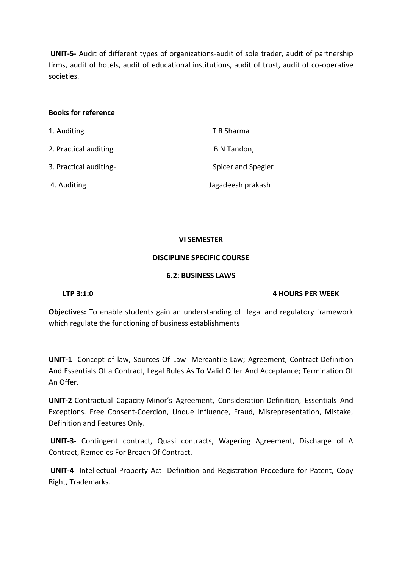**UNIT-5-** Audit of different types of organizations-audit of sole trader, audit of partnership firms, audit of hotels, audit of educational institutions, audit of trust, audit of co-operative societies.

### **Books for reference**

| 1. Auditing            | T R Sharma         |
|------------------------|--------------------|
| 2. Practical auditing  | B N Tandon,        |
| 3. Practical auditing- | Spicer and Spegler |
| 4. Auditing            | Jagadeesh prakash  |

### **VI SEMESTER**

### **DISCIPLINE SPECIFIC COURSE**

### **6.2: BUSINESS LAWS**

### **LTP 3:1:0 4 HOURS PER WEEK**

**Objectives:** To enable students gain an understanding of legal and regulatory framework which regulate the functioning of business establishments

**UNIT-1**- Concept of law, Sources Of Law- Mercantile Law; Agreement, Contract-Definition And Essentials Of a Contract, Legal Rules As To Valid Offer And Acceptance; Termination Of An Offer.

**UNIT-2**-Contractual Capacity-Minor's Agreement, Consideration-Definition, Essentials And Exceptions. Free Consent-Coercion, Undue Influence, Fraud, Misrepresentation, Mistake, Definition and Features Only.

**UNIT-3**- Contingent contract, Quasi contracts, Wagering Agreement, Discharge of A Contract, Remedies For Breach Of Contract.

**UNIT-4**- Intellectual Property Act- Definition and Registration Procedure for Patent, Copy Right, Trademarks.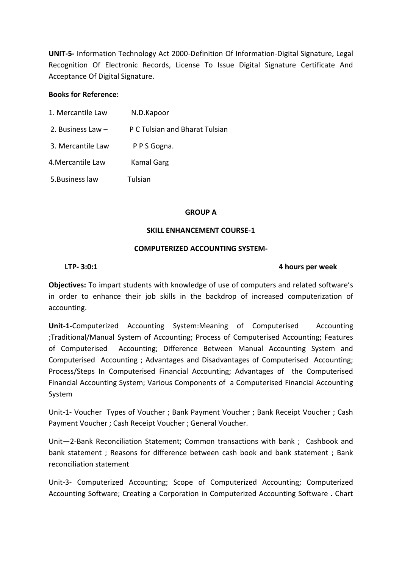**UNIT-5-** Information Technology Act 2000-Definition Of Information-Digital Signature, Legal Recognition Of Electronic Records, License To Issue Digital Signature Certificate And Acceptance Of Digital Signature.

### **Books for Reference:**

1. Mercantile Law N.D.Kapoor 2. Business Law – P C Tulsian and Bharat Tulsian 3. Mercantile Law P P S Gogna. 4.Mercantile Law Kamal Garg 5.Business law Tulsian

### **GROUP A**

### **SKILL ENHANCEMENT COURSE-1**

### **COMPUTERIZED ACCOUNTING SYSTEM-**

### **LTP- 3:0:1 4 hours per week**

**Objectives:** To impart students with knowledge of use of computers and related software's in order to enhance their job skills in the backdrop of increased computerization of accounting.

**Unit-1-**Computerized Accounting System:Meaning of Computerised Accounting ;Traditional/Manual System of Accounting; Process of Computerised Accounting; Features of Computerised Accounting; Difference Between Manual Accounting System and Computerised Accounting ; Advantages and Disadvantages of Computerised Accounting; Process/Steps In Computerised Financial Accounting; Advantages of the Computerised Financial Accounting System; Various Components of a Computerised Financial Accounting System

Unit-1- Voucher Types of Voucher ; Bank Payment Voucher ; Bank Receipt Voucher ; Cash Payment Voucher ; Cash Receipt Voucher ; General Voucher.

Unit—2-Bank Reconciliation Statement; Common transactions with bank ; Cashbook and bank statement ; Reasons for difference between cash book and bank statement ; Bank reconciliation statement

Unit-3- Computerized Accounting; Scope of Computerized Accounting; Computerized Accounting Software; Creating a Corporation in Computerized Accounting Software . Chart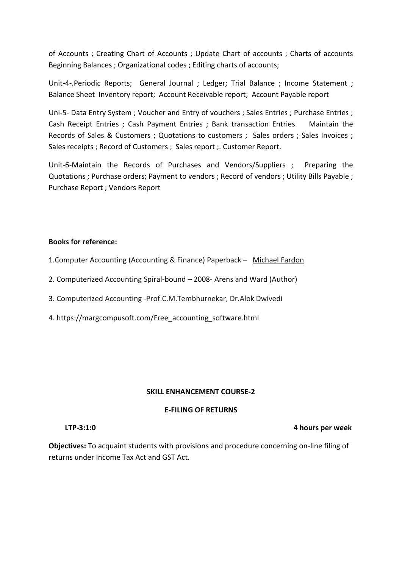of Accounts ; Creating Chart of Accounts ; Update Chart of accounts ; Charts of accounts Beginning Balances ; Organizational codes ; Editing charts of accounts;

Unit-4-.Periodic Reports; General Journal ; Ledger; Trial Balance ; Income Statement ; Balance Sheet Inventory report; Account Receivable report; Account Payable report

Uni-5- Data Entry System ; Voucher and Entry of vouchers ; Sales Entries ; Purchase Entries ; Cash Receipt Entries ; Cash Payment Entries ; Bank transaction Entries Maintain the Records of Sales & Customers ; Quotations to customers ; Sales orders ; Sales Invoices ; Sales receipts ; Record of Customers ; Sales report ;. Customer Report.

Unit-6-Maintain the Records of Purchases and Vendors/Suppliers ; Preparing the Quotations ; Purchase orders; Payment to vendors ; Record of vendors ; Utility Bills Payable ; Purchase Report ; Vendors Report

### **Books for reference:**

1.Computer Accounting (Accounting & Finance) Paperback – [Michael Fardon](https://www.amazon.in/s/ref=dp_byline_sr_book_1?ie=UTF8&field-author=Michael+Fardon&search-alias=stripbooks)

- 2. Computerized Accounting Spiral-bound 2008- [Arens and Ward](https://www.amazon.com/s/ref=dp_byline_sr_book_1?ie=UTF8&text=Arens+and+Ward&search-alias=books&field-author=Arens+and+Ward&sort=relevancerank) (Author)
- 3. Computerized Accounting -Prof.C.M.Tembhurnekar, Dr.Alok Dwivedi
- 4. https://margcompusoft.com/Free\_accounting\_software.html

### **SKILL ENHANCEMENT COURSE-2**

### **E-FILING OF RETURNS**

**Objectives:** To acquaint students with provisions and procedure concerning on-line filing of returns under Income Tax Act and GST Act.

 **LTP-3:1:0 4 hours per week**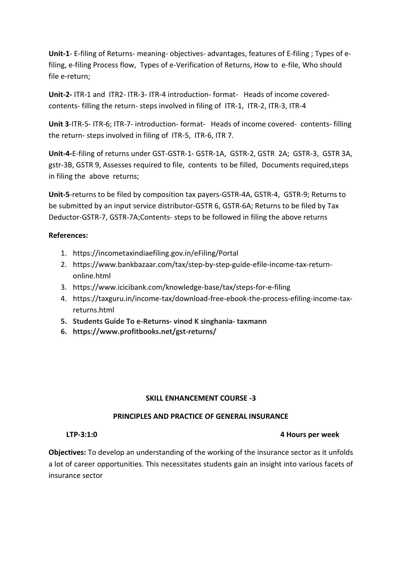**Unit-1**- E-filing of Returns- meaning- objectives- advantages, features of E-filing ; Types of efiling, e-filing Process flow, Types of e-Verification of Returns, How to e-file, Who should file e-return;

**Unit-2-** ITR-1 and ITR2- ITR-3- ITR-4 introduction- format- Heads of income coveredcontents- filling the return- steps involved in filing of ITR-1, ITR-2, ITR-3, ITR-4

**Unit 3**-ITR-5- ITR-6; ITR-7- introduction- format- Heads of income covered- contents- filling the return- steps involved in filing of ITR-5, ITR-6, ITR 7.

**Unit-4-**E-filing of returns under GST-GSTR-1- GSTR-1A, GSTR-2, GSTR 2A; GSTR-3, GSTR 3A, gstr-3B, GSTR 9, Assesses required to file, contents to be filled, Documents required,steps in filing the above returns;

**Unit-5**-returns to be filed by composition tax payers-GSTR-4A, GSTR-4, GSTR-9; Returns to be submitted by an input service distributor-GSTR 6, GSTR-6A; Returns to be filed by Tax Deductor-GSTR-7, GSTR-7A;Contents- steps to be followed in filing the above returns

### **References:**

- 1. https://incometaxindiaefiling.gov.in/eFiling/Portal
- 2. https://www.bankbazaar.com/tax/step-by-step-guide-efile-income-tax-returnonline.html
- 3. https://www.icicibank.com/knowledge-base/tax/steps-for-e-filing
- 4. https://taxguru.in/income-tax/download-free-ebook-the-process-efiling-income-taxreturns.html
- **5. Students Guide To e-Returns- vinod K singhania- taxmann**
- **6. https://www.profitbooks.net/gst-returns/**

### **SKILL ENHANCEMENT COURSE -3**

### **PRINCIPLES AND PRACTICE OF GENERAL INSURANCE**

### **LTP-3:1:0 4 Hours per week**

**Objectives:** To develop an understanding of the working of the insurance sector as it unfolds a lot of career opportunities. This necessitates students gain an insight into various facets of insurance sector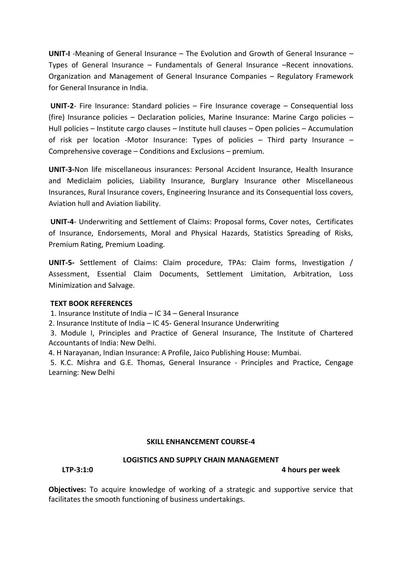**UNIT-I** -Meaning of General Insurance – The Evolution and Growth of General Insurance – Types of General Insurance – Fundamentals of General Insurance –Recent innovations. Organization and Management of General Insurance Companies – Regulatory Framework for General Insurance in India.

**UNIT-2**- Fire Insurance: Standard policies – Fire Insurance coverage – Consequential loss (fire) Insurance policies – Declaration policies, Marine Insurance: Marine Cargo policies – Hull policies – Institute cargo clauses – Institute hull clauses – Open policies – Accumulation of risk per location -Motor Insurance: Types of policies – Third party Insurance – Comprehensive coverage – Conditions and Exclusions – premium.

**UNIT-3-**Non life miscellaneous insurances: Personal Accident Insurance, Health Insurance and Mediclaim policies, Liability Insurance, Burglary Insurance other Miscellaneous Insurances, Rural Insurance covers, Engineering Insurance and its Consequential loss covers, Aviation hull and Aviation liability.

**UNIT-4**- Underwriting and Settlement of Claims: Proposal forms, Cover notes, Certificates of Insurance, Endorsements, Moral and Physical Hazards, Statistics Spreading of Risks, Premium Rating, Premium Loading.

**UNIT-5-** Settlement of Claims: Claim procedure, TPAs: Claim forms, Investigation / Assessment, Essential Claim Documents, Settlement Limitation, Arbitration, Loss Minimization and Salvage.

### **TEXT BOOK REFERENCES**

1. Insurance Institute of India – IC 34 – General Insurance

2. Insurance Institute of India – IC 45- General Insurance Underwriting

3. Module I, Principles and Practice of General Insurance, The Institute of Chartered Accountants of India: New Delhi.

4. H Narayanan, Indian Insurance: A Profile, Jaico Publishing House: Mumbai.

5. K.C. Mishra and G.E. Thomas, General Insurance - Principles and Practice, Cengage Learning: New Delhi

### **SKILL ENHANCEMENT COURSE-4**

### **LOGISTICS AND SUPPLY CHAIN MANAGEMENT**

**LTP-3:1:0 4 hours per week**

**Objectives:** To acquire knowledge of working of a strategic and supportive service that facilitates the smooth functioning of business undertakings.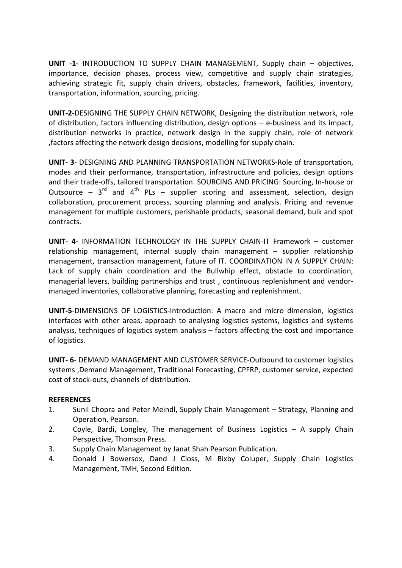**UNIT -1-** INTRODUCTION TO SUPPLY CHAIN MANAGEMENT, Supply chain – objectives, importance, decision phases, process view, competitive and supply chain strategies, achieving strategic fit, supply chain drivers, obstacles, framework, facilities, inventory, transportation, information, sourcing, pricing.

**UNIT-2-**DESIGNING THE SUPPLY CHAIN NETWORK, Designing the distribution network, role of distribution, factors influencing distribution, design options – e-business and its impact, distribution networks in practice, network design in the supply chain, role of network ,factors affecting the network design decisions, modelling for supply chain.

**UNIT- 3**- DESIGNING AND PLANNING TRANSPORTATION NETWORKS-Role of transportation, modes and their performance, transportation, infrastructure and policies, design options and their trade-offs, tailored transportation. SOURCING AND PRICING: Sourcing, In-house or Outsource –  $3^{rd}$  and  $4^{th}$  PLs – supplier scoring and assessment, selection, design collaboration, procurement process, sourcing planning and analysis. Pricing and revenue management for multiple customers, perishable products, seasonal demand, bulk and spot contracts.

**UNIT- 4-** INFORMATION TECHNOLOGY IN THE SUPPLY CHAIN-IT Framework – customer relationship management, internal supply chain management – supplier relationship management, transaction management, future of IT. COORDINATION IN A SUPPLY CHAIN: Lack of supply chain coordination and the Bullwhip effect, obstacle to coordination, managerial levers, building partnerships and trust , continuous replenishment and vendormanaged inventories, collaborative planning, forecasting and replenishment.

**UNIT-5**-DIMENSIONS OF LOGISTICS-Introduction: A macro and micro dimension, logistics interfaces with other areas, approach to analysing logistics systems, logistics and systems analysis, techniques of logistics system analysis – factors affecting the cost and importance of logistics.

**UNIT- 6**- DEMAND MANAGEMENT AND CUSTOMER SERVICE-Outbound to customer logistics systems ,Demand Management, Traditional Forecasting, CPFRP, customer service, expected cost of stock-outs, channels of distribution.

### **REFERENCES**

- 1. Sunil Chopra and Peter Meindl, Supply Chain Management Strategy, Planning and Operation, Pearson.
- 2. Coyle, Bardi, Longley, The management of Business Logistics A supply Chain Perspective, Thomson Press.
- 3. Supply Chain Management by Janat Shah Pearson Publication.
- 4. Donald J Bowersox, Dand J Closs, M Bixby Coluper, Supply Chain Logistics Management, TMH, Second Edition.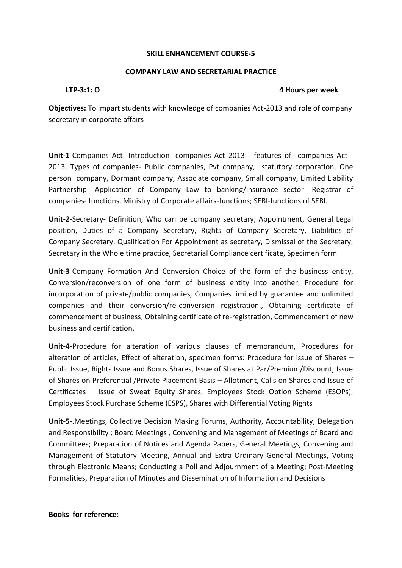### **SKILL ENHANCEMENT COURSE-5**

### **COMPANY LAW AND SECRETARIAL PRACTICE**

### **LTP-3:1: O 4 Hours per week**

**Objectives:** To impart students with knowledge of companies Act-2013 and role of company secretary in corporate affairs

**Unit-1**-Companies Act- Introduction- companies Act 2013- features of companies Act - 2013, Types of companies- Public companies, Pvt company, statutory corporation, One person company, Dormant company, Associate company, Small company, Limited Liability Partnership- Application of Company Law to banking/insurance sector- Registrar of companies- functions, Ministry of Corporate affairs-functions; SEBI-functions of SEBI.

**Unit-2**-Secretary- Definition, Who can be company secretary, Appointment, General Legal position, Duties of a Company Secretary, Rights of Company Secretary, Liabilities of Company Secretary, Qualification For Appointment as secretary, Dismissal of the Secretary, Secretary in the Whole time practice, Secretarial Compliance certificate, Specimen form

**Unit-3**-Company Formation And Conversion Choice of the form of the business entity, Conversion/reconversion of one form of business entity into another, Procedure for incorporation of private/public companies, Companies limited by guarantee and unlimited companies and their conversion/re-conversion registration., Obtaining certificate of commencement of business, Obtaining certificate of re-registration, Commencement of new business and certification,

**Unit-4**-Procedure for alteration of various clauses of memorandum, Procedures for alteration of articles, Effect of alteration, specimen forms: Procedure for issue of Shares – Public Issue, Rights Issue and Bonus Shares, Issue of Shares at Par/Premium/Discount; Issue of Shares on Preferential /Private Placement Basis – Allotment, Calls on Shares and Issue of Certificates – Issue of Sweat Equity Shares, Employees Stock Option Scheme (ESOPs), Employees Stock Purchase Scheme (ESPS), Shares with Differential Voting Rights

**Unit-5-.**Meetings, Collective Decision Making Forums, Authority, Accountability, Delegation and Responsibility ; Board Meetings , Convening and Management of Meetings of Board and Committees; Preparation of Notices and Agenda Papers, General Meetings, Convening and Management of Statutory Meeting, Annual and Extra-Ordinary General Meetings, Voting through Electronic Means; Conducting a Poll and Adjournment of a Meeting; Post-Meeting Formalities, Preparation of Minutes and Dissemination of Information and Decisions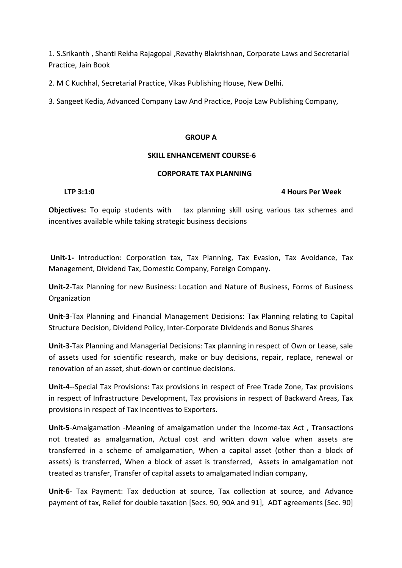1. S.Srikanth , Shanti Rekha Rajagopal ,Revathy Blakrishnan, Corporate Laws and Secretarial Practice, Jain Book

2. M C Kuchhal, Secretarial Practice, Vikas Publishing House, New Delhi.

3. Sangeet Kedia, Advanced Company Law And Practice, Pooja Law Publishing Company,

### **GROUP A**

### **SKILL ENHANCEMENT COURSE-6**

### **CORPORATE TAX PLANNING**

### **LTP 3:1:0 4 Hours Per Week**

**Objectives:** To equip students with tax planning skill using various tax schemes and incentives available while taking strategic business decisions

**Unit-1-** Introduction: Corporation tax, Tax Planning, Tax Evasion, Tax Avoidance, Tax Management, Dividend Tax, Domestic Company, Foreign Company.

**Unit-2**-Tax Planning for new Business: Location and Nature of Business, Forms of Business Organization

**Unit-3**-Tax Planning and Financial Management Decisions: Tax Planning relating to Capital Structure Decision, Dividend Policy, Inter-Corporate Dividends and Bonus Shares

**Unit-3**-Tax Planning and Managerial Decisions: Tax planning in respect of Own or Lease, sale of assets used for scientific research, make or buy decisions, repair, replace, renewal or renovation of an asset, shut-down or continue decisions.

**Unit-4**--Special Tax Provisions: Tax provisions in respect of Free Trade Zone, Tax provisions in respect of Infrastructure Development, Tax provisions in respect of Backward Areas, Tax provisions in respect of Tax Incentives to Exporters.

**Unit-5**-Amalgamation -Meaning of amalgamation under the Income-tax Act , Transactions not treated as amalgamation, Actual cost and written down value when assets are transferred in a scheme of amalgamation, When a capital asset (other than a block of assets) is transferred, When a block of asset is transferred, Assets in amalgamation not treated as transfer, Transfer of capital assets to amalgamated Indian company,

**Unit-6**- Tax Payment: Tax deduction at source, Tax collection at source, and Advance payment of tax, Relief for double taxation [Secs. 90, 90A and 91], ADT agreements [Sec. 90]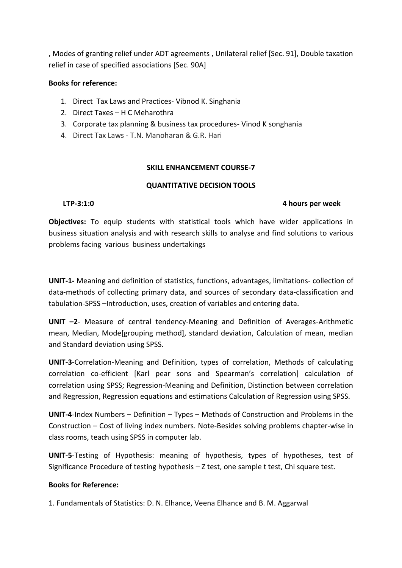, Modes of granting relief under ADT agreements , Unilateral relief [Sec. 91], Double taxation relief in case of specified associations [Sec. 90A]

### **Books for reference:**

- 1. Direct Tax Laws and Practices- Vibnod K. Singhania
- 2. Direct Taxes H C Meharothra
- 3. Corporate tax planning & business tax procedures- Vinod K songhania
- 4. Direct Tax Laws T.N. Manoharan & G.R. Hari

### **SKILL ENHANCEMENT COURSE-7**

### **QUANTITATIVE DECISION TOOLS**

### **LTP-3:1:0 4 hours per week**

**Objectives:** To equip students with statistical tools which have wider applications in business situation analysis and with research skills to analyse and find solutions to various problems facing various business undertakings

**UNIT-1-** Meaning and definition of statistics, functions, advantages, limitations- collection of data-methods of collecting primary data, and sources of secondary data-classification and tabulation-SPSS –Introduction, uses, creation of variables and entering data.

**UNIT –2**- Measure of central tendency-Meaning and Definition of Averages-Arithmetic mean, Median, Mode[grouping method], standard deviation, Calculation of mean, median and Standard deviation using SPSS.

**UNIT-3**-Correlation-Meaning and Definition, types of correlation, Methods of calculating correlation co-efficient [Karl pear sons and Spearman's correlation] calculation of correlation using SPSS; Regression-Meaning and Definition, Distinction between correlation and Regression, Regression equations and estimations Calculation of Regression using SPSS.

**UNIT-4**-Index Numbers – Definition – Types – Methods of Construction and Problems in the Construction – Cost of living index numbers. Note-Besides solving problems chapter-wise in class rooms, teach using SPSS in computer lab.

**UNIT-5**-Testing of Hypothesis: meaning of hypothesis, types of hypotheses, test of Significance Procedure of testing hypothesis – Z test, one sample t test, Chi square test.

### **Books for Reference:**

1. Fundamentals of Statistics: D. N. Elhance, Veena Elhance and B. M. Aggarwal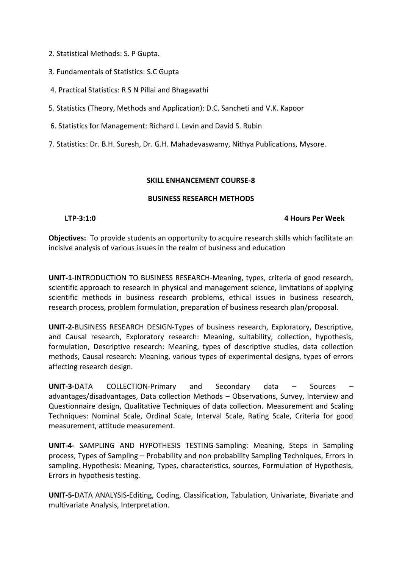2. Statistical Methods: S. P Gupta.

- 3. Fundamentals of Statistics: S.C Gupta
- 4. Practical Statistics: R S N Pillai and Bhagavathi

5. Statistics (Theory, Methods and Application): D.C. Sancheti and V.K. Kapoor

6. Statistics for Management: Richard I. Levin and David S. Rubin

7. Statistics: Dr. B.H. Suresh, Dr. G.H. Mahadevaswamy, Nithya Publications, Mysore.

### **SKILL ENHANCEMENT COURSE-8**

### **BUSINESS RESEARCH METHODS**

### **LTP-3:1:0 4 Hours Per Week**

**Objectives:** To provide students an opportunity to acquire research skills which facilitate an incisive analysis of various issues in the realm of business and education

**UNIT-1**-INTRODUCTION TO BUSINESS RESEARCH-Meaning, types, criteria of good research, scientific approach to research in physical and management science, limitations of applying scientific methods in business research problems, ethical issues in business research, research process, problem formulation, preparation of business research plan/proposal.

**UNIT-2**-BUSINESS RESEARCH DESIGN-Types of business research, Exploratory, Descriptive, and Causal research, Exploratory research: Meaning, suitability, collection, hypothesis, formulation, Descriptive research: Meaning, types of descriptive studies, data collection methods, Causal research: Meaning, various types of experimental designs, types of errors affecting research design.

**UNIT-3-**DATA COLLECTION-Primary and Secondary data – Sources – advantages/disadvantages, Data collection Methods – Observations, Survey, Interview and Questionnaire design, Qualitative Techniques of data collection. Measurement and Scaling Techniques: Nominal Scale, Ordinal Scale, Interval Scale, Rating Scale, Criteria for good measurement, attitude measurement.

**UNIT-4-** SAMPLING AND HYPOTHESIS TESTING-Sampling: Meaning, Steps in Sampling process, Types of Sampling – Probability and non probability Sampling Techniques, Errors in sampling. Hypothesis: Meaning, Types, characteristics, sources, Formulation of Hypothesis, Errors in hypothesis testing.

**UNIT-5**-DATA ANALYSIS-Editing, Coding, Classification, Tabulation, Univariate, Bivariate and multivariate Analysis, Interpretation.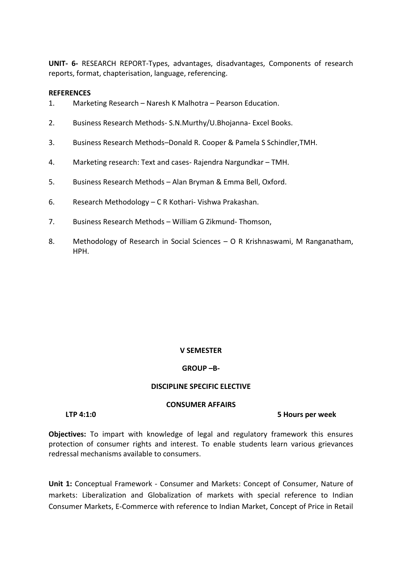**UNIT- 6-** RESEARCH REPORT-Types, advantages, disadvantages, Components of research reports, format, chapterisation, language, referencing.

### **REFERENCES**

- 1. Marketing Research Naresh K Malhotra Pearson Education.
- 2. Business Research Methods- S.N.Murthy/U.Bhojanna- Excel Books.
- 3. Business Research Methods–Donald R. Cooper & Pamela S Schindler,TMH.
- 4. Marketing research: Text and cases- Rajendra Nargundkar TMH.
- 5. Business Research Methods Alan Bryman & Emma Bell, Oxford.
- 6. Research Methodology C R Kothari- Vishwa Prakashan.
- 7. Business Research Methods William G Zikmund- Thomson,
- 8. Methodology of Research in Social Sciences O R Krishnaswami, M Ranganatham, HPH.

### **V SEMESTER**

### **GROUP –B-**

### **DISCIPLINE SPECIFIC ELECTIVE**

### **CONSUMER AFFAIRS**

**LTP 4:1:0 5 Hours per week**

**Objectives:** To impart with knowledge of legal and regulatory framework this ensures protection of consumer rights and interest. To enable students learn various grievances redressal mechanisms available to consumers.

**Unit 1:** Conceptual Framework - Consumer and Markets: Concept of Consumer, Nature of markets: Liberalization and Globalization of markets with special reference to Indian Consumer Markets, E-Commerce with reference to Indian Market, Concept of Price in Retail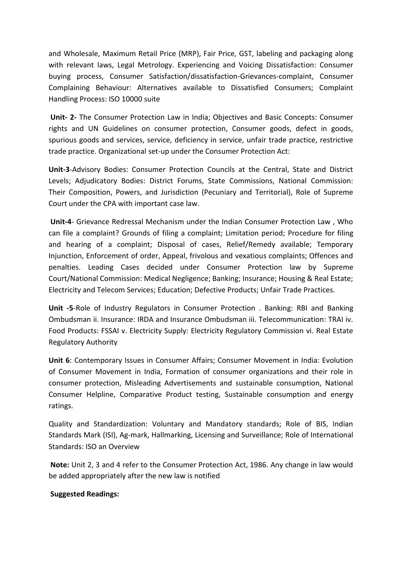and Wholesale, Maximum Retail Price (MRP), Fair Price, GST, labeling and packaging along with relevant laws, Legal Metrology. Experiencing and Voicing Dissatisfaction: Consumer buying process, Consumer Satisfaction/dissatisfaction-Grievances-complaint, Consumer Complaining Behaviour: Alternatives available to Dissatisfied Consumers; Complaint Handling Process: ISO 10000 suite

**Unit- 2-** The Consumer Protection Law in India; Objectives and Basic Concepts: Consumer rights and UN Guidelines on consumer protection, Consumer goods, defect in goods, spurious goods and services, service, deficiency in service, unfair trade practice, restrictive trade practice. Organizational set-up under the Consumer Protection Act:

**Unit-3**-Advisory Bodies: Consumer Protection Councils at the Central, State and District Levels; Adjudicatory Bodies: District Forums, State Commissions, National Commission: Their Composition, Powers, and Jurisdiction (Pecuniary and Territorial), Role of Supreme Court under the CPA with important case law.

**Unit-4**- Grievance Redressal Mechanism under the Indian Consumer Protection Law , Who can file a complaint? Grounds of filing a complaint; Limitation period; Procedure for filing and hearing of a complaint; Disposal of cases, Relief/Remedy available; Temporary Injunction, Enforcement of order, Appeal, frivolous and vexatious complaints; Offences and penalties. Leading Cases decided under Consumer Protection law by Supreme Court/National Commission: Medical Negligence; Banking; Insurance; Housing & Real Estate; Electricity and Telecom Services; Education; Defective Products; Unfair Trade Practices.

**Unit -5**-Role of Industry Regulators in Consumer Protection . Banking: RBI and Banking Ombudsman ii. Insurance: IRDA and Insurance Ombudsman iii. Telecommunication: TRAI iv. Food Products: FSSAI v. Electricity Supply: Electricity Regulatory Commission vi. Real Estate Regulatory Authority

**Unit 6**: Contemporary Issues in Consumer Affairs; Consumer Movement in India: Evolution of Consumer Movement in India, Formation of consumer organizations and their role in consumer protection, Misleading Advertisements and sustainable consumption, National Consumer Helpline, Comparative Product testing, Sustainable consumption and energy ratings.

Quality and Standardization: Voluntary and Mandatory standards; Role of BIS, Indian Standards Mark (ISI), Ag-mark, Hallmarking, Licensing and Surveillance; Role of International Standards: ISO an Overview

**Note:** Unit 2, 3 and 4 refer to the Consumer Protection Act, 1986. Any change in law would be added appropriately after the new law is notified

### **Suggested Readings:**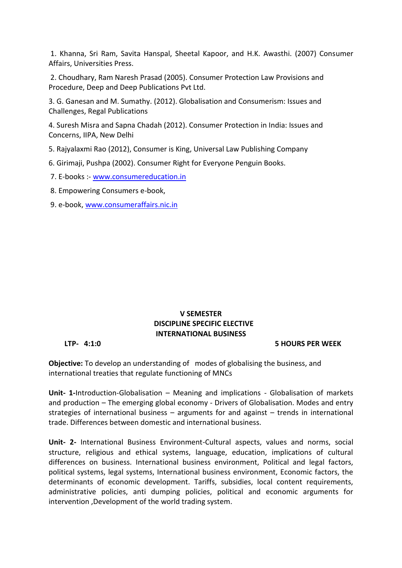1. Khanna, Sri Ram, Savita Hanspal, Sheetal Kapoor, and H.K. Awasthi. (2007) Consumer Affairs, Universities Press.

2. Choudhary, Ram Naresh Prasad (2005). Consumer Protection Law Provisions and Procedure, Deep and Deep Publications Pvt Ltd.

3. G. Ganesan and M. Sumathy. (2012). Globalisation and Consumerism: Issues and Challenges, Regal Publications

4. Suresh Misra and Sapna Chadah (2012). Consumer Protection in India: Issues and Concerns, IIPA, New Delhi

5. Rajyalaxmi Rao (2012), Consumer is King, Universal Law Publishing Company

6. Girimaji, Pushpa (2002). Consumer Right for Everyone Penguin Books.

7. E-books :- [www.consumereducation.in](http://www.consumereducation.in/)

8. Empowering Consumers e-book,

9. e-book, [www.consumeraffairs.nic.in](http://www.consumeraffairs.nic.in/)

### **V SEMESTER DISCIPLINE SPECIFIC ELECTIVE INTERNATIONAL BUSINESS**

### **LTP- 4:1:0 5 HOURS PER WEEK**

**Objective:** To develop an understanding of modes of globalising the business, and international treaties that regulate functioning of MNCs

**Unit- 1-**Introduction-Globalisation – Meaning and implications - Globalisation of markets and production – The emerging global economy - Drivers of Globalisation. Modes and entry strategies of international business – arguments for and against – trends in international trade. Differences between domestic and international business.

**Unit- 2-** International Business Environment-Cultural aspects, values and norms, social structure, religious and ethical systems, language, education, implications of cultural differences on business. International business environment, Political and legal factors, political systems, legal systems, International business environment, Economic factors, the determinants of economic development. Tariffs, subsidies, local content requirements, administrative policies, anti dumping policies, political and economic arguments for intervention ,Development of the world trading system.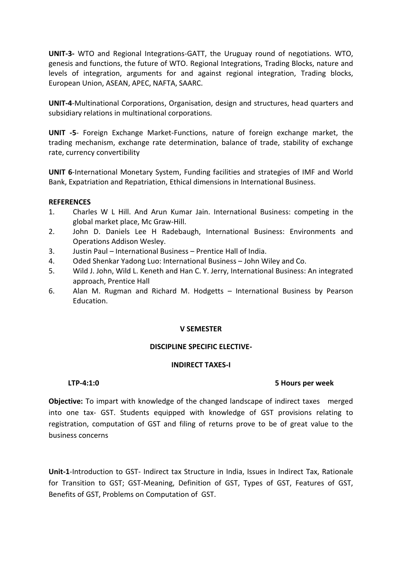**UNIT-3-** WTO and Regional Integrations-GATT, the Uruguay round of negotiations. WTO, genesis and functions, the future of WTO. Regional Integrations, Trading Blocks, nature and levels of integration, arguments for and against regional integration, Trading blocks, European Union, ASEAN, APEC, NAFTA, SAARC.

**UNIT-4**-Multinational Corporations, Organisation, design and structures, head quarters and subsidiary relations in multinational corporations.

**UNIT -5**- Foreign Exchange Market-Functions, nature of foreign exchange market, the trading mechanism, exchange rate determination, balance of trade, stability of exchange rate, currency convertibility

**UNIT 6**-International Monetary System, Funding facilities and strategies of IMF and World Bank, Expatriation and Repatriation, Ethical dimensions in International Business.

### **REFERENCES**

- 1. Charles W L Hill. And Arun Kumar Jain. International Business: competing in the global market place, Mc Graw-Hill.
- 2. John D. Daniels Lee H Radebaugh, International Business: Environments and Operations Addison Wesley.
- 3. Justin Paul International Business Prentice Hall of India.
- 4. Oded Shenkar Yadong Luo: International Business John Wiley and Co.
- 5. Wild J. John, Wild L. Keneth and Han C. Y. Jerry, International Business: An integrated approach, Prentice Hall
- 6. Alan M. Rugman and Richard M. Hodgetts International Business by Pearson Education.

### **V SEMESTER**

### **DISCIPLINE SPECIFIC ELECTIVE-**

### **INDIRECT TAXES-I**

### **LTP-4:1:0 5 Hours per week**

**Objective:** To impart with knowledge of the changed landscape of indirect taxes merged into one tax- GST. Students equipped with knowledge of GST provisions relating to registration, computation of GST and filing of returns prove to be of great value to the business concerns

**Unit-1**-Introduction to GST- Indirect tax Structure in India, Issues in Indirect Tax, Rationale for Transition to GST; GST-Meaning, Definition of GST, Types of GST, Features of GST, Benefits of GST, Problems on Computation of GST.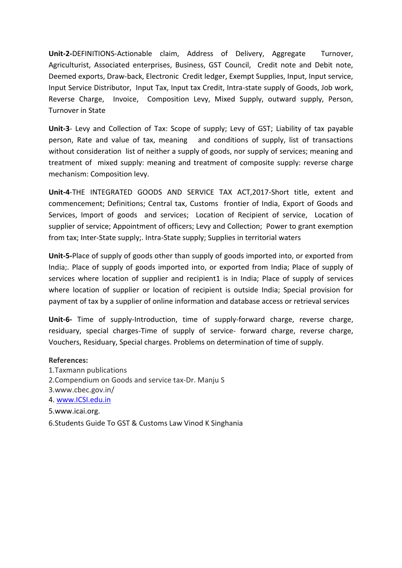**Unit-2-**DEFINITIONS-Actionable claim, Address of Delivery, Aggregate Turnover, Agriculturist, Associated enterprises, Business, GST Council, Credit note and Debit note, Deemed exports, Draw-back, Electronic Credit ledger, Exempt Supplies, Input, Input service, Input Service Distributor, Input Tax, Input tax Credit, Intra-state supply of Goods, Job work, Reverse Charge, Invoice, Composition Levy, Mixed Supply, outward supply, Person, Turnover in State

**Unit-3**- Levy and Collection of Tax: Scope of supply; Levy of GST; Liability of tax payable person, Rate and value of tax, meaning and conditions of supply, list of transactions without consideration list of neither a supply of goods, nor supply of services; meaning and treatment of mixed supply: meaning and treatment of composite supply: reverse charge mechanism: Composition levy.

**Unit-4**-THE INTEGRATED GOODS AND SERVICE TAX ACT,2017-Short title, extent and commencement; Definitions; Central tax, Customs frontier of India, Export of Goods and Services, Import of goods and services; Location of Recipient of service, Location of supplier of service; Appointment of officers; Levy and Collection; Power to grant exemption from tax; Inter-State supply;. Intra-State supply; Supplies in territorial waters

**Unit-5-**Place of supply of goods other than supply of goods imported into, or exported from India;. Place of supply of goods imported into, or exported from India; Place of supply of services where location of supplier and recipient1 is in India; Place of supply of services where location of supplier or location of recipient is outside India; Special provision for payment of tax by a supplier of online information and database access or retrieval services

**Unit-6-** Time of supply-Introduction, time of supply-forward charge, reverse charge, residuary, special charges-Time of supply of service- forward charge, reverse charge, Vouchers, Residuary, Special charges. Problems on determination of time of supply.

### **References:**

- 1.Taxmann publications
- 2.Compendium on Goods and service tax-Dr. Manju S
- 3.www.cbec.gov.in/
- 4. [www.ICSI.edu.in](http://www.icsi.edu.in/)
- 5.www.icai.org.
- 6.Students Guide To GST & Customs Law Vinod K Singhania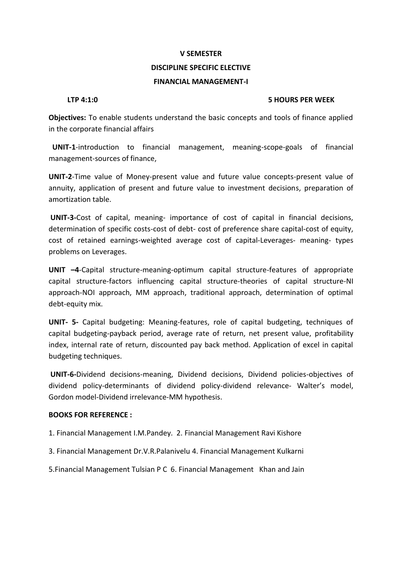### **DISCIPLINE SPECIFIC ELECTIVE**

### **FINANCIAL MANAGEMENT-I**

### **LTP 4:1:0 5 HOURS PER WEEK**

**Objectives:** To enable students understand the basic concepts and tools of finance applied in the corporate financial affairs

 **UNIT-1**-introduction to financial management, meaning-scope-goals of financial management-sources of finance,

**UNIT-2**-Time value of Money-present value and future value concepts-present value of annuity, application of present and future value to investment decisions, preparation of amortization table.

**UNIT-3-**Cost of capital, meaning- importance of cost of capital in financial decisions, determination of specific costs-cost of debt- cost of preference share capital-cost of equity, cost of retained earnings-weighted average cost of capital-Leverages- meaning- types problems on Leverages.

**UNIT –4**-Capital structure-meaning-optimum capital structure-features of appropriate capital structure-factors influencing capital structure-theories of capital structure-NI approach-NOI approach, MM approach, traditional approach, determination of optimal debt-equity mix.

**UNIT- 5-** Capital budgeting: Meaning-features, role of capital budgeting, techniques of capital budgeting-payback period, average rate of return, net present value, profitability index, internal rate of return, discounted pay back method. Application of excel in capital budgeting techniques.

**UNIT-6-**Dividend decisions-meaning, Dividend decisions, Dividend policies-objectives of dividend policy-determinants of dividend policy-dividend relevance- Walter's model, Gordon model-Dividend irrelevance-MM hypothesis.

### **BOOKS FOR REFERENCE :**

1. Financial Management I.M.Pandey. 2. Financial Management Ravi Kishore

3. Financial Management Dr.V.R.Palanivelu 4. Financial Management Kulkarni

5.Financial Management Tulsian P C 6. Financial Management Khan and Jain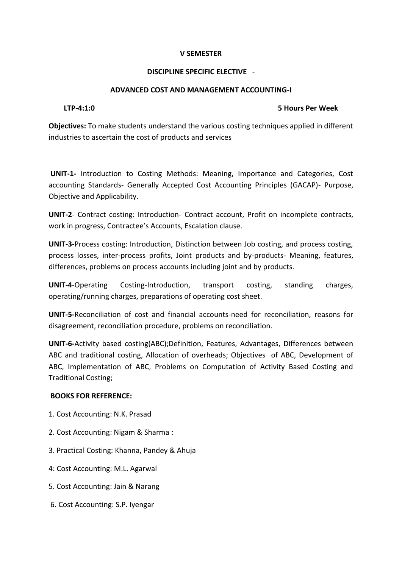### **DISCIPLINE SPECIFIC ELECTIVE** -

### **ADVANCED COST AND MANAGEMENT ACCOUNTING-I**

### **LTP-4:1:0 5 Hours Per Week**

**Objectives:** To make students understand the various costing techniques applied in different industries to ascertain the cost of products and services

**UNIT-1-** Introduction to Costing Methods: Meaning, Importance and Categories, Cost accounting Standards- Generally Accepted Cost Accounting Principles (GACAP)- Purpose, Objective and Applicability.

**UNIT-2**- Contract costing: Introduction- Contract account, Profit on incomplete contracts, work in progress, Contractee's Accounts, Escalation clause.

**UNIT-3-**Process costing: Introduction, Distinction between Job costing, and process costing, process losses, inter-process profits, Joint products and by-products- Meaning, features, differences, problems on process accounts including joint and by products.

**UNIT-4**-Operating Costing-Introduction, transport costing, standing charges, operating/running charges, preparations of operating cost sheet.

**UNIT-5-**Reconciliation of cost and financial accounts-need for reconciliation, reasons for disagreement, reconciliation procedure, problems on reconciliation.

**UNIT-6-**Activity based costing(ABC);Definition, Features, Advantages, Differences between ABC and traditional costing, Allocation of overheads; Objectives of ABC, Development of ABC, Implementation of ABC, Problems on Computation of Activity Based Costing and Traditional Costing;

### **BOOKS FOR REFERENCE:**

- 1. Cost Accounting: N.K. Prasad
- 2. Cost Accounting: Nigam & Sharma :
- 3. Practical Costing: Khanna, Pandey & Ahuja
- 4: Cost Accounting: M.L. Agarwal
- 5. Cost Accounting: Jain & Narang
- 6. Cost Accounting: S.P. Iyengar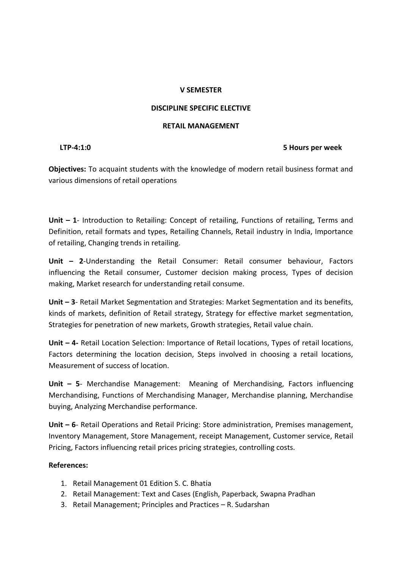### **DISCIPLINE SPECIFIC ELECTIVE**

### **RETAIL MANAGEMENT**

### **LTP-4:1:0 5 Hours per week**

**Objectives:** To acquaint students with the knowledge of modern retail business format and various dimensions of retail operations

**Unit – 1**- Introduction to Retailing: Concept of retailing, Functions of retailing, Terms and Definition, retail formats and types, Retailing Channels, Retail industry in India, Importance of retailing, Changing trends in retailing.

**Unit – 2**-Understanding the Retail Consumer: Retail consumer behaviour, Factors influencing the Retail consumer, Customer decision making process, Types of decision making, Market research for understanding retail consume.

**Unit – 3**- Retail Market Segmentation and Strategies: Market Segmentation and its benefits, kinds of markets, definition of Retail strategy, Strategy for effective market segmentation, Strategies for penetration of new markets, Growth strategies, Retail value chain.

**Unit – 4-** Retail Location Selection: Importance of Retail locations, Types of retail locations, Factors determining the location decision, Steps involved in choosing a retail locations, Measurement of success of location.

**Unit – 5**- Merchandise Management: Meaning of Merchandising, Factors influencing Merchandising, Functions of Merchandising Manager, Merchandise planning, Merchandise buying, Analyzing Merchandise performance.

**Unit – 6**- Retail Operations and Retail Pricing: Store administration, Premises management, Inventory Management, Store Management, receipt Management, Customer service, Retail Pricing, Factors influencing retail prices pricing strategies, controlling costs.

### **References:**

- 1. Retail Management 01 Edition S. C. Bhatia
- 2. Retail Management: Text and Cases (English, Paperback, Swapna Pradhan
- 3. Retail Management; Principles and Practices R. Sudarshan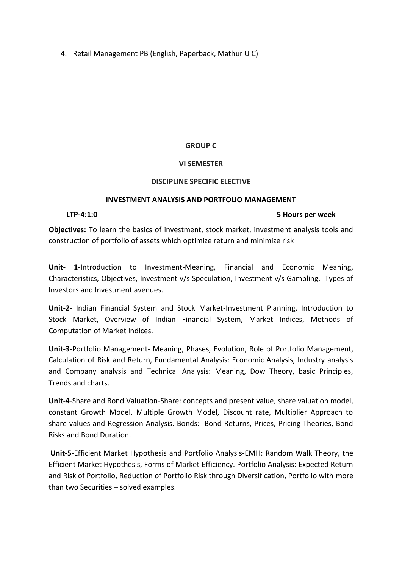4. Retail Management PB (English, Paperback, Mathur U C)

### **GROUP C**

### **VI SEMESTER**

### **DISCIPLINE SPECIFIC ELECTIVE**

### **INVESTMENT ANALYSIS AND PORTFOLIO MANAGEMENT**

### **LTP-4:1:0 5 Hours per week**

**Objectives:** To learn the basics of investment, stock market, investment analysis tools and construction of portfolio of assets which optimize return and minimize risk

**Unit- 1**-Introduction to Investment-Meaning, Financial and Economic Meaning, Characteristics, Objectives, Investment v/s Speculation, Investment v/s Gambling, Types of Investors and Investment avenues.

**Unit-2**- Indian Financial System and Stock Market-Investment Planning, Introduction to Stock Market, Overview of Indian Financial System, Market Indices, Methods of Computation of Market Indices.

**Unit-3**-Portfolio Management- Meaning, Phases, Evolution, Role of Portfolio Management, Calculation of Risk and Return, Fundamental Analysis: Economic Analysis, Industry analysis and Company analysis and Technical Analysis: Meaning, Dow Theory, basic Principles, Trends and charts.

**Unit-4**-Share and Bond Valuation-Share: concepts and present value, share valuation model, constant Growth Model, Multiple Growth Model, Discount rate, Multiplier Approach to share values and Regression Analysis. Bonds: Bond Returns, Prices, Pricing Theories, Bond Risks and Bond Duration.

**Unit-5**-Efficient Market Hypothesis and Portfolio Analysis-EMH: Random Walk Theory, the Efficient Market Hypothesis, Forms of Market Efficiency. Portfolio Analysis: Expected Return and Risk of Portfolio, Reduction of Portfolio Risk through Diversification, Portfolio with more than two Securities – solved examples.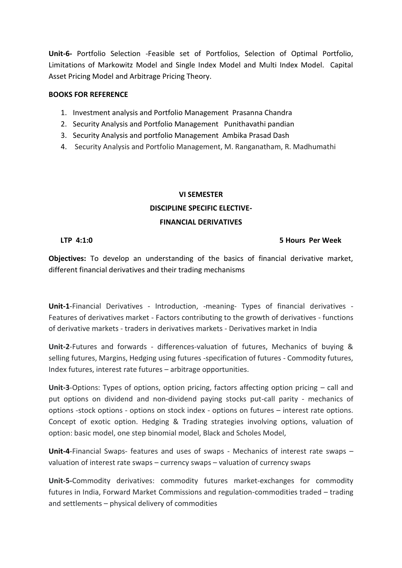**Unit-6-** Portfolio Selection -Feasible set of Portfolios, Selection of Optimal Portfolio, Limitations of Markowitz Model and Single Index Model and Multi Index Model. Capital Asset Pricing Model and Arbitrage Pricing Theory.

### **BOOKS FOR REFERENCE**

- 1. Investment analysis and Portfolio Management Prasanna Chandra
- 2. Security Analysis and Portfolio Management Punithavathi pandian
- 3. Security Analysis and portfolio Management Ambika Prasad Dash
- 4. Security Analysis and Portfolio Management, M. Ranganatham, R. Madhumathi

### **VI SEMESTER DISCIPLINE SPECIFIC ELECTIVE-FINANCIAL DERIVATIVES**

### **LTP 4:1:0 5 Hours Per Week**

**Objectives:** To develop an understanding of the basics of financial derivative market, different financial derivatives and their trading mechanisms

**Unit-1**-Financial Derivatives - Introduction, -meaning- Types of financial derivatives - Features of derivatives market - Factors contributing to the growth of derivatives - functions of derivative markets - traders in derivatives markets - Derivatives market in India

**Unit-2**-Futures and forwards - differences-valuation of futures, Mechanics of buying & selling futures, Margins, Hedging using futures -specification of futures - Commodity futures, Index futures, interest rate futures – arbitrage opportunities.

**Unit-3**-Options: Types of options, option pricing, factors affecting option pricing – call and put options on dividend and non-dividend paying stocks put-call parity - mechanics of options -stock options - options on stock index - options on futures – interest rate options. Concept of exotic option. Hedging & Trading strategies involving options, valuation of option: basic model, one step binomial model, Black and Scholes Model,

**Unit-4**-Financial Swaps- features and uses of swaps - Mechanics of interest rate swaps – valuation of interest rate swaps – currency swaps – valuation of currency swaps

**Unit-5-**Commodity derivatives: commodity futures market-exchanges for commodity futures in India, Forward Market Commissions and regulation-commodities traded – trading and settlements – physical delivery of commodities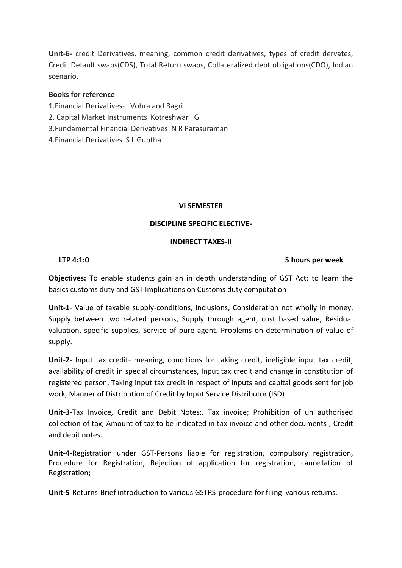**Unit-6-** credit Derivatives, meaning, common credit derivatives, types of credit dervates, Credit Default swaps(CDS), Total Return swaps, Collateralized debt obligations(CDO), Indian scenario.

### **Books for reference**

- 1.Financial Derivatives- Vohra and Bagri
- 2. Capital Market Instruments Kotreshwar G
- 3.Fundamental Financial Derivatives N R Parasuraman
- 4.Financial Derivatives S L Guptha

### **VI SEMESTER**

### **DISCIPLINE SPECIFIC ELECTIVE-**

### **INDIRECT TAXES-II**

### **LTP 4:1:0 5 hours per week**

**Objectives:** To enable students gain an in depth understanding of GST Act; to learn the basics customs duty and GST Implications on Customs duty computation

**Unit-1**- Value of taxable supply-conditions, inclusions, Consideration not wholly in money, Supply between two related persons, Supply through agent, cost based value, Residual valuation, specific supplies, Service of pure agent. Problems on determination of value of supply.

**Unit-2-** Input tax credit- meaning, conditions for taking credit, ineligible input tax credit, availability of credit in special circumstances, Input tax credit and change in constitution of registered person, Taking input tax credit in respect of inputs and capital goods sent for job work, Manner of Distribution of Credit by Input Service Distributor (ISD)

**Unit-3**-Tax Invoice, Credit and Debit Notes;. Tax invoice; Prohibition of un authorised collection of tax; Amount of tax to be indicated in tax invoice and other documents ; Credit and debit notes.

**Unit-4-**Registration under GST-Persons liable for registration, compulsory registration, Procedure for Registration, Rejection of application for registration, cancellation of Registration;

**Unit-5**-Returns-Brief introduction to various GSTRS-procedure for filing various returns.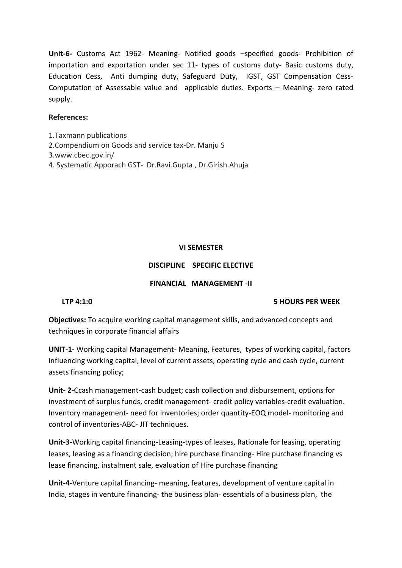**Unit-6-** Customs Act 1962- Meaning- Notified goods –specified goods- Prohibition of importation and exportation under sec 11- types of customs duty- Basic customs duty, Education Cess, Anti dumping duty, Safeguard Duty, IGST, GST Compensation Cess-Computation of Assessable value and applicable duties. Exports – Meaning- zero rated supply.

### **References:**

- 1.Taxmann publications
- 2.Compendium on Goods and service tax-Dr. Manju S
- 3.www.cbec.gov.in/
- 4. Systematic Apporach GST- Dr.Ravi.Gupta , Dr.Girish.Ahuja

### **VI SEMESTER**

### **DISCIPLINE SPECIFIC ELECTIVE**

### **FINANCIAL MANAGEMENT -II**

### **LTP 4:1:0 5 HOURS PER WEEK**

**Objectives:** To acquire working capital management skills, and advanced concepts and techniques in corporate financial affairs

**UNIT-1-** Working capital Management- Meaning, Features, types of working capital, factors influencing working capital, level of current assets, operating cycle and cash cycle, current assets financing policy;

**Unit- 2-**Ccash management-cash budget; cash collection and disbursement, options for investment of surplus funds, credit management- credit policy variables-credit evaluation. Inventory management- need for inventories; order quantity-EOQ model- monitoring and control of inventories-ABC- JIT techniques.

**Unit-3**-Working capital financing-Leasing-types of leases, Rationale for leasing, operating leases, leasing as a financing decision; hire purchase financing- Hire purchase financing vs lease financing, instalment sale, evaluation of Hire purchase financing

**Unit-4**-Venture capital financing- meaning, features, development of venture capital in India, stages in venture financing- the business plan- essentials of a business plan, the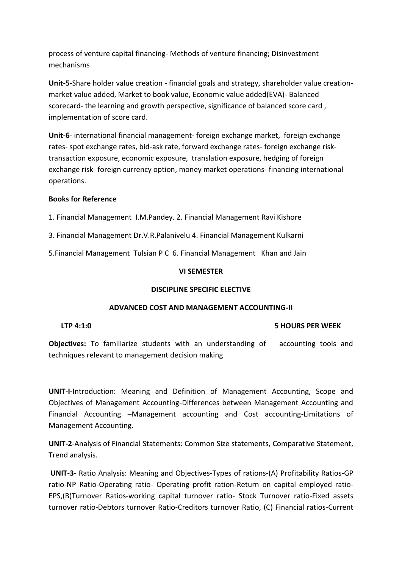process of venture capital financing- Methods of venture financing; Disinvestment mechanisms

**Unit-5**-Share holder value creation - financial goals and strategy, shareholder value creationmarket value added, Market to book value, Economic value added(EVA)- Balanced scorecard- the learning and growth perspective, significance of balanced score card , implementation of score card.

**Unit-6**- international financial management- foreign exchange market, foreign exchange rates- spot exchange rates, bid-ask rate, forward exchange rates- foreign exchange risktransaction exposure, economic exposure, translation exposure, hedging of foreign exchange risk- foreign currency option, money market operations- financing international operations.

### **Books for Reference**

1. Financial Management I.M.Pandey. 2. Financial Management Ravi Kishore

3. Financial Management Dr.V.R.Palanivelu 4. Financial Management Kulkarni

5.Financial Management Tulsian P C 6. Financial Management Khan and Jain

### **VI SEMESTER**

### **DISCIPLINE SPECIFIC ELECTIVE**

### **ADVANCED COST AND MANAGEMENT ACCOUNTING-II**

### **LTP 4:1:0 5 HOURS PER WEEK**

**Objectives:** To familiarize students with an understanding of accounting tools and techniques relevant to management decision making

**UNIT-I-**Introduction: Meaning and Definition of Management Accounting, Scope and Objectives of Management Accounting-Differences between Management Accounting and Financial Accounting –Management accounting and Cost accounting-Limitations of Management Accounting.

**UNIT-2**-Analysis of Financial Statements: Common Size statements, Comparative Statement, Trend analysis.

**UNIT-3-** Ratio Analysis: Meaning and Objectives-Types of rations-(A) Profitability Ratios-GP ratio-NP Ratio-Operating ratio- Operating profit ration-Return on capital employed ratio-EPS,(B)Turnover Ratios-working capital turnover ratio- Stock Turnover ratio-Fixed assets turnover ratio-Debtors turnover Ratio-Creditors turnover Ratio, (C) Financial ratios-Current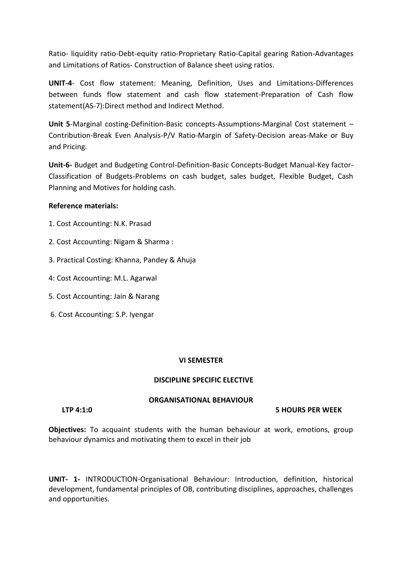Ratio- liquidity ratio-Debt-equity ratio-Proprietary Ratio-Capital gearing Ration-Advantages and Limitations of Ratios- Construction of Balance sheet using ratios.

**UNIT-4**- Cost flow statement: Meaning, Definition, Uses and Limitations-Differences between funds flow statement and cash flow statement-Preparation of Cash flow statement(AS-7):Direct method and Indirect Method.

**Unit 5**-Marginal costing-Definition-Basic concepts-Assumptions-Marginal Cost statement – Contribution-Break Even Analysis-P/V Ratio-Margin of Safety-Decision areas-Make or Buy and Pricing.

**Unit-6-** Budget and Budgeting Control-Definition-Basic Concepts-Budget Manual-Key factor-Classification of Budgets-Problems on cash budget, sales budget, Flexible Budget, Cash Planning and Motives for holding cash.

### **Reference materials:**

- 1. Cost Accounting: N.K. Prasad
- 2. Cost Accounting: Nigam & Sharma :
- 3. Practical Costing: Khanna, Pandey & Ahuja
- 4: Cost Accounting: M.L. Agarwal
- 5. Cost Accounting: Jain & Narang
- 6. Cost Accounting: S.P. Iyengar

### **VI SEMESTER**

### **DISCIPLINE SPECIFIC ELECTIVE**

### **ORGANISATIONAL BEHAVIOUR**

### **LTP 4:1:0 5 HOURS PER WEEK**

**Objectives:** To acquaint students with the human behaviour at work, emotions, group behaviour dynamics and motivating them to excel in their job

**UNIT- 1-** INTRODUCTION-Organisational Behaviour: Introduction, definition, historical development, fundamental principles of OB, contributing disciplines, approaches, challenges and opportunities.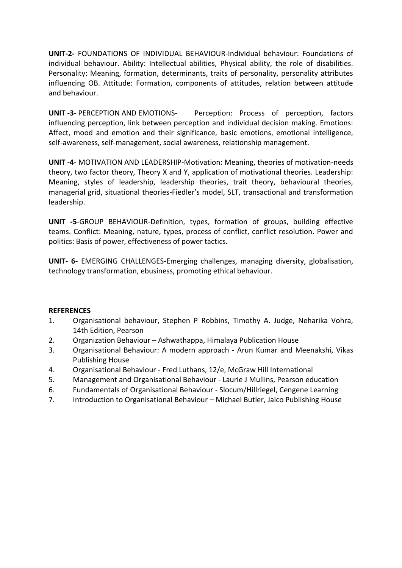**UNIT-2-** FOUNDATIONS OF INDIVIDUAL BEHAVIOUR-Individual behaviour: Foundations of individual behaviour. Ability: Intellectual abilities, Physical ability, the role of disabilities. Personality: Meaning, formation, determinants, traits of personality, personality attributes influencing OB. Attitude: Formation, components of attitudes, relation between attitude and behaviour.

**UNIT -3**- PERCEPTION AND EMOTIONS- Perception: Process of perception, factors influencing perception, link between perception and individual decision making. Emotions: Affect, mood and emotion and their significance, basic emotions, emotional intelligence, self-awareness, self-management, social awareness, relationship management.

**UNIT -4**- MOTIVATION AND LEADERSHIP-Motivation: Meaning, theories of motivation-needs theory, two factor theory, Theory X and Y, application of motivational theories. Leadership: Meaning, styles of leadership, leadership theories, trait theory, behavioural theories, managerial grid, situational theories-Fiedler's model, SLT, transactional and transformation leadership.

**UNIT -5**-GROUP BEHAVIOUR-Definition, types, formation of groups, building effective teams. Conflict: Meaning, nature, types, process of conflict, conflict resolution. Power and politics: Basis of power, effectiveness of power tactics.

**UNIT- 6-** EMERGING CHALLENGES-Emerging challenges, managing diversity, globalisation, technology transformation, ebusiness, promoting ethical behaviour.

### **REFERENCES**

- 1. Organisational behaviour, Stephen P Robbins, Timothy A. Judge, Neharika Vohra, 14th Edition, Pearson
- 2. Organization Behaviour Ashwathappa, Himalaya Publication House
- 3. Organisational Behaviour: A modern approach Arun Kumar and Meenakshi, Vikas Publishing House
- 4. Organisational Behaviour Fred Luthans, 12/e, McGraw Hill International
- 5. Management and Organisational Behaviour Laurie J Mullins, Pearson education
- 6. Fundamentals of Organisational Behaviour Slocum/Hillriegel, Cengene Learning
- 7. Introduction to Organisational Behaviour Michael Butler, Jaico Publishing House